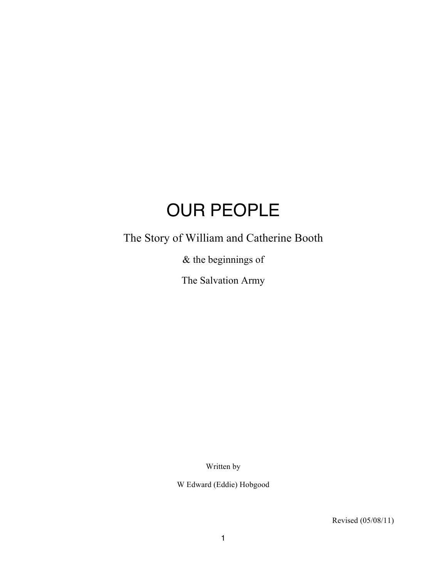# OUR PEOPLE

The Story of William and Catherine Booth

& the beginnings of

The Salvation Army

Written by

W Edward (Eddie) Hobgood

Revised (05/08/11)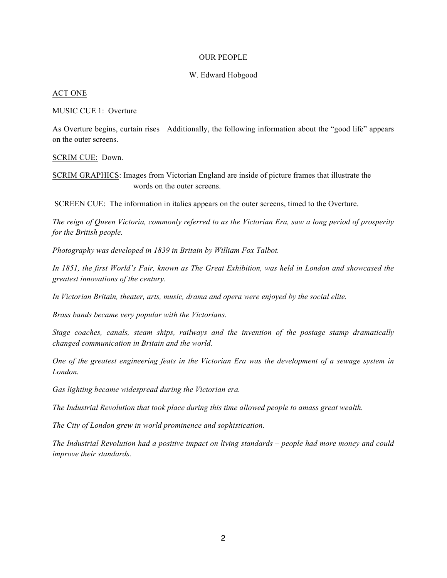#### OUR PEOPLE

#### W. Edward Hobgood

#### ACT ONE

#### MUSIC CUE 1: Overture

As Overture begins, curtain rises Additionally, the following information about the "good life" appears on the outer screens.

#### SCRIM CUE: Down.

SCRIM GRAPHICS: Images from Victorian England are inside of picture frames that illustrate the words on the outer screens.

SCREEN CUE: The information in italics appears on the outer screens, timed to the Overture.

*The reign of Queen Victoria, commonly referred to as the Victorian Era, saw a long period of prosperity for the British people.*

*Photography was developed in 1839 in Britain by William Fox Talbot.*

*In 1851, the first World's Fair, known as The Great Exhibition, was held in London and showcased the greatest innovations of the century.* 

*In Victorian Britain, theater, arts, music, drama and opera were enjoyed by the social elite.*

*Brass bands became very popular with the Victorians.*

*Stage coaches, canals, steam ships, railways and the invention of the postage stamp dramatically changed communication in Britain and the world.*

*One of the greatest engineering feats in the Victorian Era was the development of a sewage system in London.*

*Gas lighting became widespread during the Victorian era.*

*The Industrial Revolution that took place during this time allowed people to amass great wealth.*

*The City of London grew in world prominence and sophistication.*

*The Industrial Revolution had a positive impact on living standards – people had more money and could improve their standards.*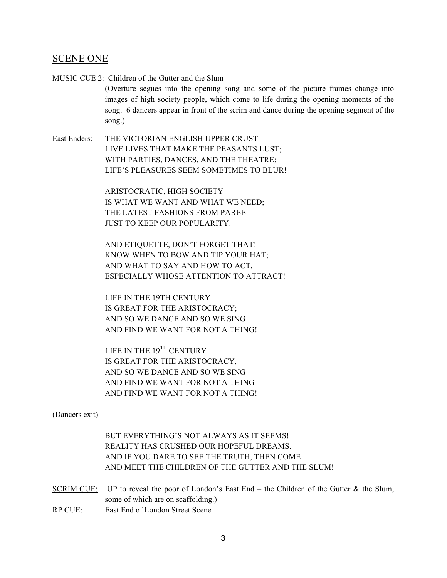## SCENE ONE

MUSIC CUE 2: Children of the Gutter and the Slum

(Overture segues into the opening song and some of the picture frames change into images of high society people, which come to life during the opening moments of the song. 6 dancers appear in front of the scrim and dance during the opening segment of the song.)

East Enders: THE VICTORIAN ENGLISH UPPER CRUST LIVE LIVES THAT MAKE THE PEASANTS LUST; WITH PARTIES, DANCES, AND THE THEATRE; LIFE'S PLEASURES SEEM SOMETIMES TO BLUR!

> ARISTOCRATIC, HIGH SOCIETY IS WHAT WE WANT AND WHAT WE NEED; THE LATEST FASHIONS FROM PAREE JUST TO KEEP OUR POPULARITY.

AND ETIQUETTE, DON'T FORGET THAT! KNOW WHEN TO BOW AND TIP YOUR HAT; AND WHAT TO SAY AND HOW TO ACT, ESPECIALLY WHOSE ATTENTION TO ATTRACT!

LIFE IN THE 19TH CENTURY IS GREAT FOR THE ARISTOCRACY; AND SO WE DANCE AND SO WE SING AND FIND WE WANT FOR NOT A THING!

LIFE IN THE 19<sup>TH</sup> CENTURY IS GREAT FOR THE ARISTOCRACY, AND SO WE DANCE AND SO WE SING AND FIND WE WANT FOR NOT A THING AND FIND WE WANT FOR NOT A THING!

(Dancers exit)

BUT EVERYTHING'S NOT ALWAYS AS IT SEEMS! REALITY HAS CRUSHED OUR HOPEFUL DREAMS. AND IF YOU DARE TO SEE THE TRUTH, THEN COME AND MEET THE CHILDREN OF THE GUTTER AND THE SLUM!

- SCRIM CUE: UP to reveal the poor of London's East End the Children of the Gutter & the Slum, some of which are on scaffolding.) RP CUE: East End of London Street Scene
	- 3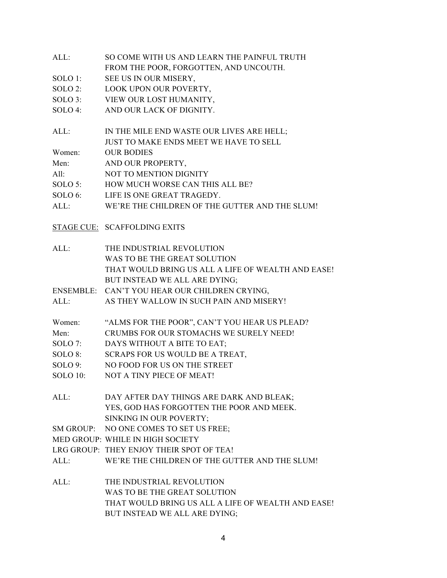| ALL: | SO COME WITH US AND LEARN THE PAINFUL TRUTH |
|------|---------------------------------------------|
|      | FROM THE POOR, FORGOTTEN, AND UNCOUTH.      |

- SOLO 1: SEE US IN OUR MISERY,
- SOLO 2: LOOK UPON OUR POVERTY,
- SOLO 3: VIEW OUR LOST HUMANITY,
- SOLO 4: AND OUR LACK OF DIGNITY.
- ALL: IN THE MILE END WASTE OUR LIVES ARE HELL; JUST TO MAKE ENDS MEET WE HAVE TO SELL Women: OUR BODIES Men: AND OUR PROPERTY,

| All: | <b>NOT TO MENTION DIGNITY</b> |  |  |
|------|-------------------------------|--|--|

- SOLO 5: HOW MUCH WORSE CAN THIS ALL BE?
- SOLO 6: LIFE IS ONE GREAT TRAGEDY.
- ALL: WE'RE THE CHILDREN OF THE GUTTER AND THE SLUM!
- STAGE CUE: SCAFFOLDING EXITS

| ALL: | THE INDUSTRIAL REVOLUTION                          |
|------|----------------------------------------------------|
|      | WAS TO BE THE GREAT SOLUTION                       |
|      | THAT WOULD BRING US ALL A LIFE OF WEALTH AND EASE! |
|      | BUT INSTEAD WE ALL ARE DYING:                      |
|      |                                                    |

ENSEMBLE: CAN'T YOU HEAR OUR CHILDREN CRYING,

ALL: AS THEY WALLOW IN SUCH PAIN AND MISERY!

| Women: | "ALMS FOR THE POOR", CAN'T YOU HEAR US PLEAD? |
|--------|-----------------------------------------------|
|--------|-----------------------------------------------|

- Men: CRUMBS FOR OUR STOMACHS WE SURELY NEED!
- SOLO 7: DAYS WITHOUT A BITE TO EAT;
- SOLO 8: SCRAPS FOR US WOULD BE A TREAT,
- SOLO 9: NO FOOD FOR US ON THE STREET
- SOLO 10: NOT A TINY PIECE OF MEAT!
- ALL: DAY AFTER DAY THINGS ARE DARK AND BLEAK; YES, GOD HAS FORGOTTEN THE POOR AND MEEK. SINKING IN OUR POVERTY;

SM GROUP: NO ONE COMES TO SET US FREE;

MED GROUP: WHILE IN HIGH SOCIETY

- LRG GROUP: THEY ENJOY THEIR SPOT OF TEA!
- ALL: WE'RE THE CHILDREN OF THE GUTTER AND THE SLUM!
- ALL: THE INDUSTRIAL REVOLUTION WAS TO BE THE GREAT SOLUTION THAT WOULD BRING US ALL A LIFE OF WEALTH AND EASE! BUT INSTEAD WE ALL ARE DYING;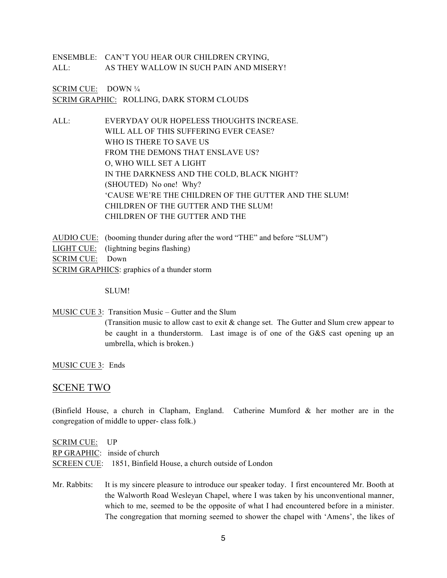ENSEMBLE: CAN'T YOU HEAR OUR CHILDREN CRYING, ALL: AS THEY WALLOW IN SUCH PAIN AND MISERY!

SCRIM CUE: DOWN ¼ SCRIM GRAPHIC: ROLLING, DARK STORM CLOUDS

ALL: EVERYDAY OUR HOPELESS THOUGHTS INCREASE. WILL ALL OF THIS SUFFERING EVER CEASE? WHO IS THERE TO SAVE US FROM THE DEMONS THAT ENSLAVE US? O, WHO WILL SET A LIGHT IN THE DARKNESS AND THE COLD, BLACK NIGHT? (SHOUTED) No one! Why? 'CAUSE WE'RE THE CHILDREN OF THE GUTTER AND THE SLUM! CHILDREN OF THE GUTTER AND THE SLUM! CHILDREN OF THE GUTTER AND THE

AUDIO CUE: (booming thunder during after the word "THE" and before "SLUM") LIGHT CUE: (lightning begins flashing) SCRIM CUE: Down SCRIM GRAPHICS: graphics of a thunder storm

SLUM!

MUSIC CUE 3: Transition Music – Gutter and the Slum (Transition music to allow cast to exit & change set. The Gutter and Slum crew appear to be caught in a thunderstorm. Last image is of one of the G&S cast opening up an umbrella, which is broken.)

MUSIC CUE 3: Ends

## SCENE TWO

(Binfield House, a church in Clapham, England. Catherine Mumford & her mother are in the congregation of middle to upper- class folk.)

| SCRIM CUE: UP |                                                              |
|---------------|--------------------------------------------------------------|
|               | RP GRAPHIC: inside of church                                 |
|               | SCREEN CUE: 1851, Binfield House, a church outside of London |

Mr. Rabbits: It is my sincere pleasure to introduce our speaker today. I first encountered Mr. Booth at the Walworth Road Wesleyan Chapel, where I was taken by his unconventional manner, which to me, seemed to be the opposite of what I had encountered before in a minister. The congregation that morning seemed to shower the chapel with 'Amens', the likes of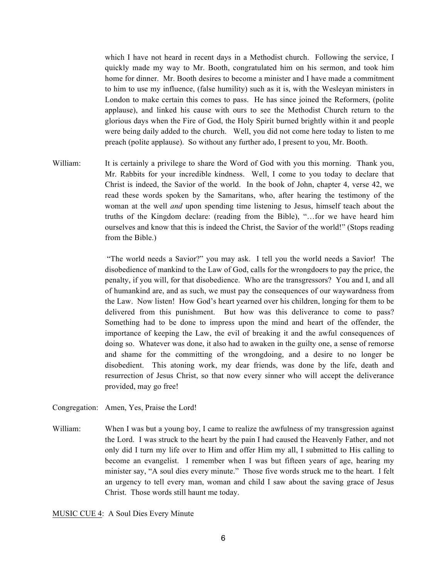which I have not heard in recent days in a Methodist church. Following the service, I quickly made my way to Mr. Booth, congratulated him on his sermon, and took him home for dinner. Mr. Booth desires to become a minister and I have made a commitment to him to use my influence, (false humility) such as it is, with the Wesleyan ministers in London to make certain this comes to pass. He has since joined the Reformers, (polite applause), and linked his cause with ours to see the Methodist Church return to the glorious days when the Fire of God, the Holy Spirit burned brightly within it and people were being daily added to the church. Well, you did not come here today to listen to me preach (polite applause). So without any further ado, I present to you, Mr. Booth.

William: It is certainly a privilege to share the Word of God with you this morning. Thank you, Mr. Rabbits for your incredible kindness. Well, I come to you today to declare that Christ is indeed, the Savior of the world. In the book of John, chapter 4, verse 42, we read these words spoken by the Samaritans, who, after hearing the testimony of the woman at the well *and* upon spending time listening to Jesus, himself teach about the truths of the Kingdom declare: (reading from the Bible), "…for we have heard him ourselves and know that this is indeed the Christ, the Savior of the world!" (Stops reading from the Bible.)

> "The world needs a Savior?" you may ask. I tell you the world needs a Savior! The disobedience of mankind to the Law of God, calls for the wrongdoers to pay the price, the penalty, if you will, for that disobedience. Who are the transgressors? You and I, and all of humankind are, and as such, we must pay the consequences of our waywardness from the Law. Now listen! How God's heart yearned over his children, longing for them to be delivered from this punishment. But how was this deliverance to come to pass? Something had to be done to impress upon the mind and heart of the offender, the importance of keeping the Law, the evil of breaking it and the awful consequences of doing so. Whatever was done, it also had to awaken in the guilty one, a sense of remorse and shame for the committing of the wrongdoing, and a desire to no longer be disobedient. This atoning work, my dear friends, was done by the life, death and resurrection of Jesus Christ, so that now every sinner who will accept the deliverance provided, may go free!

Congregation: Amen, Yes, Praise the Lord!

William: When I was but a young boy, I came to realize the awfulness of my transgression against the Lord. I was struck to the heart by the pain I had caused the Heavenly Father, and not only did I turn my life over to Him and offer Him my all, I submitted to His calling to become an evangelist. I remember when I was but fifteen years of age, hearing my minister say, "A soul dies every minute." Those five words struck me to the heart. I felt an urgency to tell every man, woman and child I saw about the saving grace of Jesus Christ. Those words still haunt me today.

#### MUSIC CUE 4: A Soul Dies Every Minute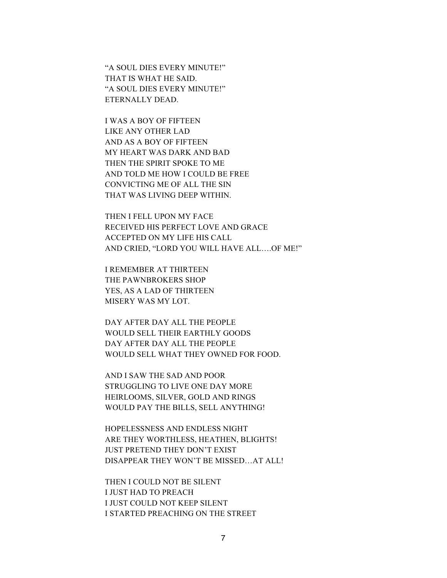"A SOUL DIES EVERY MINUTE!" THAT IS WHAT HE SAID. "A SOUL DIES EVERY MINUTE!" ETERNALLY DEAD.

I WAS A BOY OF FIFTEEN LIKE ANY OTHER LAD AND AS A BOY OF FIFTEEN MY HEART WAS DARK AND BAD THEN THE SPIRIT SPOKE TO ME AND TOLD ME HOW I COULD BE FREE CONVICTING ME OF ALL THE SIN THAT WAS LIVING DEEP WITHIN.

THEN I FELL UPON MY FACE RECEIVED HIS PERFECT LOVE AND GRACE ACCEPTED ON MY LIFE HIS CALL AND CRIED, "LORD YOU WILL HAVE ALL….OF ME!"

I REMEMBER AT THIRTEEN THE PAWNBROKERS SHOP YES, AS A LAD OF THIRTEEN MISERY WAS MY LOT.

DAY AFTER DAY ALL THE PEOPLE WOULD SELL THEIR EARTHLY GOODS DAY AFTER DAY ALL THE PEOPLE WOULD SELL WHAT THEY OWNED FOR FOOD.

AND I SAW THE SAD AND POOR STRUGGLING TO LIVE ONE DAY MORE HEIRLOOMS, SILVER, GOLD AND RINGS WOULD PAY THE BILLS, SELL ANYTHING!

HOPELESSNESS AND ENDLESS NIGHT ARE THEY WORTHLESS, HEATHEN, BLIGHTS! JUST PRETEND THEY DON'T EXIST DISAPPEAR THEY WON'T BE MISSED…AT ALL!

THEN I COULD NOT BE SILENT I JUST HAD TO PREACH I JUST COULD NOT KEEP SILENT I STARTED PREACHING ON THE STREET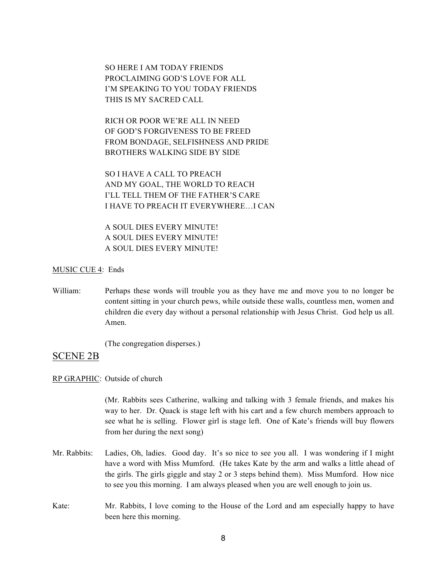SO HERE I AM TODAY FRIENDS PROCLAIMING GOD'S LOVE FOR ALL I'M SPEAKING TO YOU TODAY FRIENDS THIS IS MY SACRED CALL

RICH OR POOR WE'RE ALL IN NEED OF GOD'S FORGIVENESS TO BE FREED FROM BONDAGE, SELFISHNESS AND PRIDE BROTHERS WALKING SIDE BY SIDE

SO I HAVE A CALL TO PREACH AND MY GOAL, THE WORLD TO REACH I'LL TELL THEM OF THE FATHER'S CARE I HAVE TO PREACH IT EVERYWHERE…I CAN

A SOUL DIES EVERY MINUTE! A SOUL DIES EVERY MINUTE! A SOUL DIES EVERY MINUTE!

#### MUSIC CUE 4: Ends

William: Perhaps these words will trouble you as they have me and move you to no longer be content sitting in your church pews, while outside these walls, countless men, women and children die every day without a personal relationship with Jesus Christ. God help us all. Amen.

(The congregation disperses.)

## SCENE 2B

### RP GRAPHIC: Outside of church

(Mr. Rabbits sees Catherine, walking and talking with 3 female friends, and makes his way to her. Dr. Quack is stage left with his cart and a few church members approach to see what he is selling. Flower girl is stage left. One of Kate's friends will buy flowers from her during the next song)

- Mr. Rabbits: Ladies, Oh, ladies. Good day. It's so nice to see you all. I was wondering if I might have a word with Miss Mumford. (He takes Kate by the arm and walks a little ahead of the girls. The girls giggle and stay 2 or 3 steps behind them). Miss Mumford. How nice to see you this morning. I am always pleased when you are well enough to join us.
- Kate: Mr. Rabbits, I love coming to the House of the Lord and am especially happy to have been here this morning.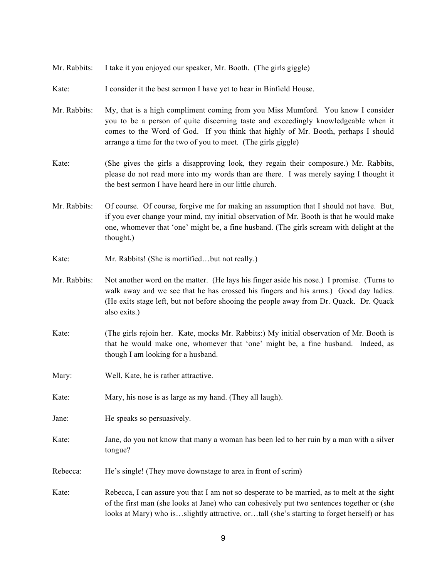- Mr. Rabbits: I take it you enjoyed our speaker, Mr. Booth. (The girls giggle)
- Kate: I consider it the best sermon I have yet to hear in Binfield House.
- Mr. Rabbits: My, that is a high compliment coming from you Miss Mumford. You know I consider you to be a person of quite discerning taste and exceedingly knowledgeable when it comes to the Word of God. If you think that highly of Mr. Booth, perhaps I should arrange a time for the two of you to meet. (The girls giggle)
- Kate: (She gives the girls a disapproving look, they regain their composure.) Mr. Rabbits, please do not read more into my words than are there. I was merely saying I thought it the best sermon I have heard here in our little church.
- Mr. Rabbits: Of course. Of course, forgive me for making an assumption that I should not have. But, if you ever change your mind, my initial observation of Mr. Booth is that he would make one, whomever that 'one' might be, a fine husband. (The girls scream with delight at the thought.)
- Kate: Mr. Rabbits! (She is mortified...but not really.)
- Mr. Rabbits: Not another word on the matter. (He lays his finger aside his nose.) I promise. (Turns to walk away and we see that he has crossed his fingers and his arms.) Good day ladies. (He exits stage left, but not before shooing the people away from Dr. Quack. Dr. Quack also exits.)
- Kate: (The girls rejoin her. Kate, mocks Mr. Rabbits:) My initial observation of Mr. Booth is that he would make one, whomever that 'one' might be, a fine husband. Indeed, as though I am looking for a husband.
- Mary: Well, Kate, he is rather attractive.
- Kate: Mary, his nose is as large as my hand. (They all laugh).
- Jane: He speaks so persuasively.
- Kate: Jane, do you not know that many a woman has been led to her ruin by a man with a silver tongue?
- Rebecca: He's single! (They move downstage to area in front of scrim)

Kate: Rebecca, I can assure you that I am not so desperate to be married, as to melt at the sight of the first man (she looks at Jane) who can cohesively put two sentences together or (she looks at Mary) who is…slightly attractive, or…tall (she's starting to forget herself) or has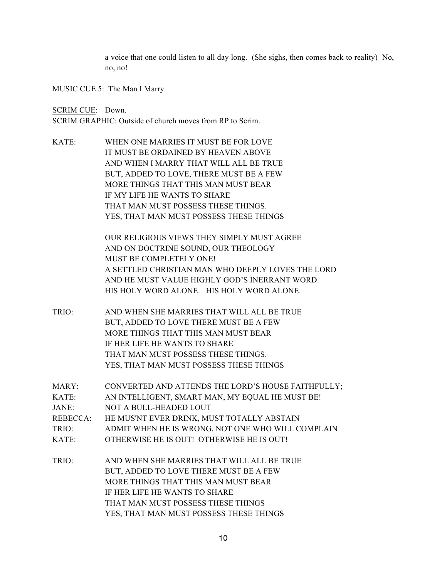a voice that one could listen to all day long. (She sighs, then comes back to reality) No, no, no!

MUSIC CUE 5: The Man I Marry

SCRIM CUE: Down. SCRIM GRAPHIC: Outside of church moves from RP to Scrim.

KATE: WHEN ONE MARRIES IT MUST BE FOR LOVE IT MUST BE ORDAINED BY HEAVEN ABOVE AND WHEN I MARRY THAT WILL ALL BE TRUE BUT, ADDED TO LOVE, THERE MUST BE A FEW MORE THINGS THAT THIS MAN MUST BEAR IF MY LIFE HE WANTS TO SHARE THAT MAN MUST POSSESS THESE THINGS. YES, THAT MAN MUST POSSESS THESE THINGS

> OUR RELIGIOUS VIEWS THEY SIMPLY MUST AGREE AND ON DOCTRINE SOUND, OUR THEOLOGY MUST BE COMPLETELY ONE! A SETTLED CHRISTIAN MAN WHO DEEPLY LOVES THE LORD AND HE MUST VALUE HIGHLY GOD'S INERRANT WORD. HIS HOLY WORD ALONE. HIS HOLY WORD ALONE.

- TRIO: AND WHEN SHE MARRIES THAT WILL ALL BE TRUE BUT, ADDED TO LOVE THERE MUST BE A FEW MORE THINGS THAT THIS MAN MUST BEAR IF HER LIFE HE WANTS TO SHARE THAT MAN MUST POSSESS THESE THINGS. YES, THAT MAN MUST POSSESS THESE THINGS
- MARY: CONVERTED AND ATTENDS THE LORD'S HOUSE FAITHFULLY; KATE: AN INTELLIGENT, SMART MAN, MY EQUAL HE MUST BE!
- JANE: NOT A BULL-HEADED LOUT
- REBECCA: HE MUS'NT EVER DRINK, MUST TOTALLY ABSTAIN
- TRIO: ADMIT WHEN HE IS WRONG, NOT ONE WHO WILL COMPLAIN
- KATE: OTHERWISE HE IS OUT! OTHERWISE HE IS OUT!
- TRIO: AND WHEN SHE MARRIES THAT WILL ALL BE TRUE BUT, ADDED TO LOVE THERE MUST BE A FEW MORE THINGS THAT THIS MAN MUST BEAR IF HER LIFE HE WANTS TO SHARE THAT MAN MUST POSSESS THESE THINGS YES, THAT MAN MUST POSSESS THESE THINGS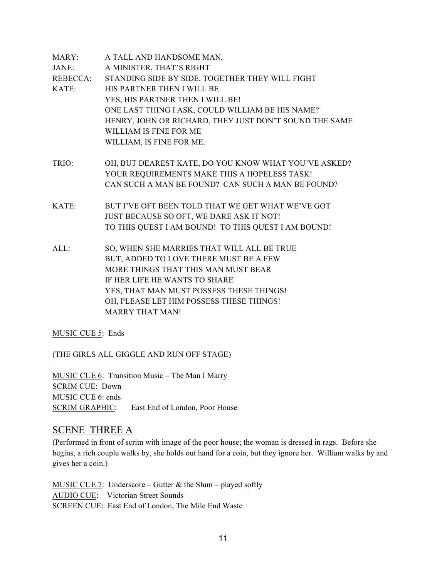| MARY:    | A TALL AND HANDSOME MAN,                               |
|----------|--------------------------------------------------------|
| JANE:    | A MINISTER, THAT'S RIGHT                               |
| REBECCA: | STANDING SIDE BY SIDE, TOGETHER THEY WILL FIGHT        |
| KATE:    | HIS PARTNER THEN I WILL BE.                            |
|          | YES, HIS PARTNER THEN I WILL BE!                       |
|          | ONE LAST THING I ASK, COULD WILLIAM BE HIS NAME?       |
|          | HENRY, JOHN OR RICHARD, THEY JUST DON'T SOUND THE SAME |
|          | WILLIAM IS FINE FOR ME                                 |
|          | WILLIAM, IS FINE FOR ME.                               |
| TRIO:    | OH, BUT DEAREST KATE, DO YOU KNOW WHAT YOU'VE ASKED?   |
|          | YOUR REQUIREMENTS MAKE THIS A HOPELESS TASK!           |
|          | CAN SUCH A MAN BE FOUND? CAN SUCH A MAN BE FOUND?      |
| KATE:    | BUT I'VE OFT BEEN TOLD THAT WE GET WHAT WE'VE GOT      |
|          | JUST BECAUSE SO OFT, WE DARE ASK IT NOT!               |
|          | TO THIS QUEST I AM BOUND! TO THIS QUEST I AM BOUND!    |
| $ALL$ :  | SO, WHEN SHE MARRIES THAT WILL ALL BE TRUE             |
|          | BUT, ADDED TO LOVE THERE MUST BE A FEW                 |
|          | MORE THINGS THAT THIS MAN MUST BEAR                    |
|          | IF HER LIFE HE WANTS TO SHARE                          |
|          | YES, THAT MAN MUST POSSESS THESE THINGS!               |
|          | OH, PLEASE LET HIM POSSESS THESE THINGS!               |
|          | <b>MARRY THAT MAN!</b>                                 |

MUSIC CUE 5: Ends

(THE GIRLS ALL GIGGLE AND RUN OFF STAGE)

MUSIC CUE 6: Transition Music – The Man I Marry SCRIM CUE: Down MUSIC CUE 6: ends SCRIM GRAPHIC: East End of London, Poor House

## SCENE THREE A

(Performed in front of scrim with image of the poor house; the woman is dressed in rags. Before she begins, a rich couple walks by, she holds out hand for a coin, but they ignore her. William walks by and gives her a coin.)

MUSIC CUE 7: Underscore – Gutter  $\&$  the Slum – played softly AUDIO CUE: Victorian Street Sounds SCREEN CUE: East End of London, The Mile End Waste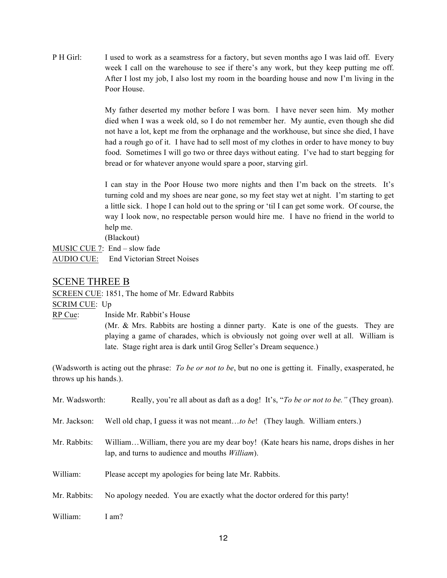P H Girl: I used to work as a seamstress for a factory, but seven months ago I was laid off. Every week I call on the warehouse to see if there's any work, but they keep putting me off. After I lost my job, I also lost my room in the boarding house and now I'm living in the Poor House.

> My father deserted my mother before I was born. I have never seen him. My mother died when I was a week old, so I do not remember her. My auntie, even though she did not have a lot, kept me from the orphanage and the workhouse, but since she died, I have had a rough go of it. I have had to sell most of my clothes in order to have money to buy food. Sometimes I will go two or three days without eating. I've had to start begging for bread or for whatever anyone would spare a poor, starving girl.

> I can stay in the Poor House two more nights and then I'm back on the streets. It's turning cold and my shoes are near gone, so my feet stay wet at night. I'm starting to get a little sick. I hope I can hold out to the spring or 'til I can get some work. Of course, the way I look now, no respectable person would hire me. I have no friend in the world to help me.

(Blackout)

MUSIC CUE 7: End – slow fade AUDIO CUE: End Victorian Street Noises

## SCENE THREE B

SCREEN CUE: 1851, The home of Mr. Edward Rabbits

SCRIM CUE: Up

RP Cue: Inside Mr. Rabbit's House

(Mr. & Mrs. Rabbits are hosting a dinner party. Kate is one of the guests. They are playing a game of charades, which is obviously not going over well at all. William is late. Stage right area is dark until Grog Seller's Dream sequence.)

(Wadsworth is acting out the phrase: *To be or not to be*, but no one is getting it. Finally, exasperated, he throws up his hands.).

| Mr. Wadsworth: | Really, you're all about as daft as a dog! It's, "To be or not to be." (They groan).                                                            |
|----------------|-------------------------------------------------------------------------------------------------------------------------------------------------|
| Mr. Jackson:   | Well old chap, I guess it was not meantto be! (They laugh. William enters.)                                                                     |
| Mr. Rabbits:   | WilliamWilliam, there you are my dear boy! (Kate hears his name, drops dishes in her<br>lap, and turns to audience and mouths <i>William</i> ). |
| William:       | Please accept my apologies for being late Mr. Rabbits.                                                                                          |
| Mr. Rabbits:   | No apology needed. You are exactly what the doctor ordered for this party!                                                                      |
| William:       | I am?                                                                                                                                           |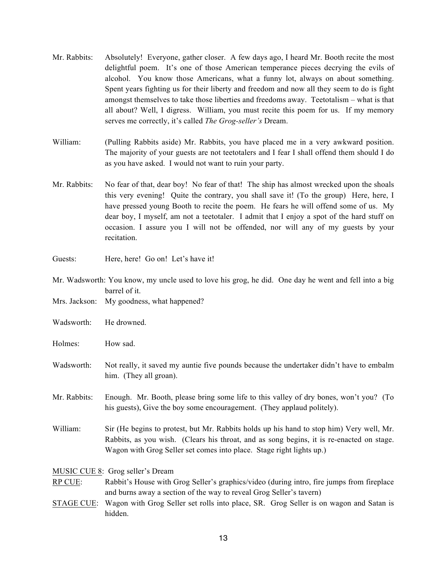- Mr. Rabbits: Absolutely! Everyone, gather closer. A few days ago, I heard Mr. Booth recite the most delightful poem. It's one of those American temperance pieces decrying the evils of alcohol. You know those Americans, what a funny lot, always on about something. Spent years fighting us for their liberty and freedom and now all they seem to do is fight amongst themselves to take those liberties and freedoms away. Teetotalism – what is that all about? Well, I digress. William, you must recite this poem for us. If my memory serves me correctly, it's called *The Grog-seller's* Dream.
- William: (Pulling Rabbits aside) Mr. Rabbits, you have placed me in a very awkward position. The majority of your guests are not teetotalers and I fear I shall offend them should I do as you have asked. I would not want to ruin your party.
- Mr. Rabbits: No fear of that, dear boy! No fear of that! The ship has almost wrecked upon the shoals this very evening! Quite the contrary, you shall save it! (To the group) Here, here, I have pressed young Booth to recite the poem. He fears he will offend some of us. My dear boy, I myself, am not a teetotaler. I admit that I enjoy a spot of the hard stuff on occasion. I assure you I will not be offended, nor will any of my guests by your recitation.
- Guests: Here, here! Go on! Let's have it!
- Mr. Wadsworth: You know, my uncle used to love his grog, he did. One day he went and fell into a big barrel of it.
- Mrs. Jackson: My goodness, what happened?
- Wadsworth: He drowned.
- Holmes: How sad.
- Wadsworth: Not really, it saved my auntie five pounds because the undertaker didn't have to embalm him. (They all groan).
- Mr. Rabbits: Enough. Mr. Booth, please bring some life to this valley of dry bones, won't you? (To his guests), Give the boy some encouragement. (They applaud politely).
- William: Sir (He begins to protest, but Mr. Rabbits holds up his hand to stop him) Very well, Mr. Rabbits, as you wish. (Clears his throat, and as song begins, it is re-enacted on stage. Wagon with Grog Seller set comes into place. Stage right lights up.)

MUSIC CUE 8: Grog seller's Dream

## RP CUE: Rabbit's House with Grog Seller's graphics/video (during intro, fire jumps from fireplace and burns away a section of the way to reveal Grog Seller's tavern)

STAGE CUE: Wagon with Grog Seller set rolls into place, SR. Grog Seller is on wagon and Satan is hidden.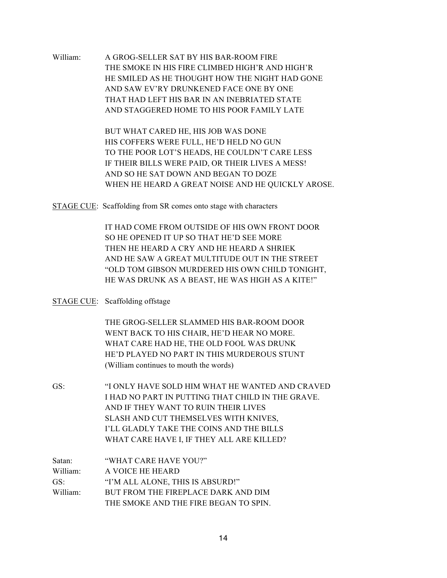William: A GROG-SELLER SAT BY HIS BAR-ROOM FIRE THE SMOKE IN HIS FIRE CLIMBED HIGH'R AND HIGH'R HE SMILED AS HE THOUGHT HOW THE NIGHT HAD GONE AND SAW EV'RY DRUNKENED FACE ONE BY ONE THAT HAD LEFT HIS BAR IN AN INEBRIATED STATE AND STAGGERED HOME TO HIS POOR FAMILY LATE

> BUT WHAT CARED HE, HIS JOB WAS DONE HIS COFFERS WERE FULL, HE'D HELD NO GUN TO THE POOR LOT'S HEADS, HE COULDN'T CARE LESS IF THEIR BILLS WERE PAID, OR THEIR LIVES A MESS! AND SO HE SAT DOWN AND BEGAN TO DOZE WHEN HE HEARD A GREAT NOISE AND HE QUICKLY AROSE.

STAGE CUE: Scaffolding from SR comes onto stage with characters

IT HAD COME FROM OUTSIDE OF HIS OWN FRONT DOOR SO HE OPENED IT UP SO THAT HE'D SEE MORE THEN HE HEARD A CRY AND HE HEARD A SHRIEK AND HE SAW A GREAT MULTITUDE OUT IN THE STREET "OLD TOM GIBSON MURDERED HIS OWN CHILD TONIGHT, HE WAS DRUNK AS A BEAST, HE WAS HIGH AS A KITE!"

## STAGE CUE: Scaffolding offstage

THE GROG-SELLER SLAMMED HIS BAR-ROOM DOOR WENT BACK TO HIS CHAIR, HE'D HEAR NO MORE. WHAT CARE HAD HE, THE OLD FOOL WAS DRUNK HE'D PLAYED NO PART IN THIS MURDEROUS STUNT (William continues to mouth the words)

GS: "I ONLY HAVE SOLD HIM WHAT HE WANTED AND CRAVED I HAD NO PART IN PUTTING THAT CHILD IN THE GRAVE. AND IF THEY WANT TO RUIN THEIR LIVES SLASH AND CUT THEMSELVES WITH KNIVES, I'LL GLADLY TAKE THE COINS AND THE BILLS WHAT CARE HAVE I, IF THEY ALL ARE KILLED?

| Satan:               | "WHAT CARE HAVE YOU?"                 |
|----------------------|---------------------------------------|
| William:             | A VOICE HE HEARD                      |
| GS:                  | "I'M ALL ALONE, THIS IS ABSURD!"      |
| William <sup>-</sup> | BUT FROM THE FIREPLACE DARK AND DIM   |
|                      | THE SMOKE AND THE FIRE BEGAN TO SPIN. |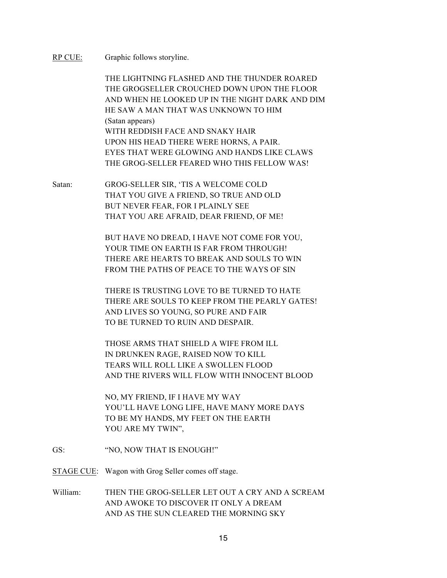RP CUE: Graphic follows storyline.

THE LIGHTNING FLASHED AND THE THUNDER ROARED THE GROGSELLER CROUCHED DOWN UPON THE FLOOR AND WHEN HE LOOKED UP IN THE NIGHT DARK AND DIM HE SAW A MAN THAT WAS UNKNOWN TO HIM (Satan appears) WITH REDDISH FACE AND SNAKY HAIR UPON HIS HEAD THERE WERE HORNS, A PAIR. EYES THAT WERE GLOWING AND HANDS LIKE CLAWS THE GROG-SELLER FEARED WHO THIS FELLOW WAS!

Satan: GROG-SELLER SIR, 'TIS A WELCOME COLD THAT YOU GIVE A FRIEND, SO TRUE AND OLD BUT NEVER FEAR, FOR I PLAINLY SEE THAT YOU ARE AFRAID, DEAR FRIEND, OF ME!

> BUT HAVE NO DREAD, I HAVE NOT COME FOR YOU, YOUR TIME ON EARTH IS FAR FROM THROUGH! THERE ARE HEARTS TO BREAK AND SOULS TO WIN FROM THE PATHS OF PEACE TO THE WAYS OF SIN

THERE IS TRUSTING LOVE TO BE TURNED TO HATE THERE ARE SOULS TO KEEP FROM THE PEARLY GATES! AND LIVES SO YOUNG, SO PURE AND FAIR TO BE TURNED TO RUIN AND DESPAIR.

THOSE ARMS THAT SHIELD A WIFE FROM ILL IN DRUNKEN RAGE, RAISED NOW TO KILL TEARS WILL ROLL LIKE A SWOLLEN FLOOD AND THE RIVERS WILL FLOW WITH INNOCENT BLOOD

NO, MY FRIEND, IF I HAVE MY WAY YOU'LL HAVE LONG LIFE, HAVE MANY MORE DAYS TO BE MY HANDS, MY FEET ON THE EARTH YOU ARE MY TWIN",

GS: "NO, NOW THAT IS ENOUGH!"

STAGE CUE: Wagon with Grog Seller comes off stage.

William: THEN THE GROG-SELLER LET OUT A CRY AND A SCREAM AND AWOKE TO DISCOVER IT ONLY A DREAM AND AS THE SUN CLEARED THE MORNING SKY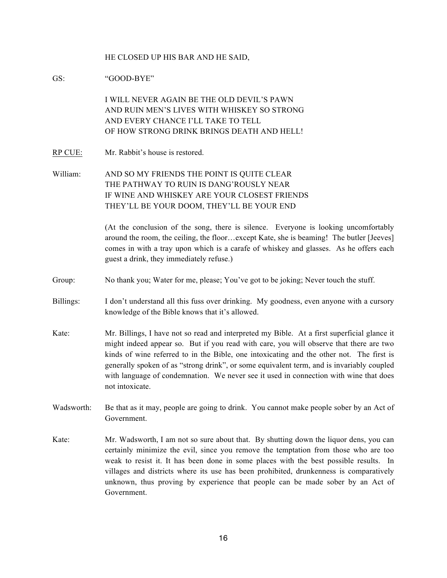#### HE CLOSED UP HIS BAR AND HE SAID,

GS: "GOOD-BYE"

I WILL NEVER AGAIN BE THE OLD DEVIL'S PAWN AND RUIN MEN'S LIVES WITH WHISKEY SO STRONG AND EVERY CHANCE I'LL TAKE TO TELL OF HOW STRONG DRINK BRINGS DEATH AND HELL!

- RP CUE: Mr. Rabbit's house is restored.
- William: AND SO MY FRIENDS THE POINT IS QUITE CLEAR THE PATHWAY TO RUIN IS DANG'ROUSLY NEAR IF WINE AND WHISKEY ARE YOUR CLOSEST FRIENDS THEY'LL BE YOUR DOOM, THEY'LL BE YOUR END

(At the conclusion of the song, there is silence. Everyone is looking uncomfortably around the room, the ceiling, the floor…except Kate, she is beaming! The butler [Jeeves] comes in with a tray upon which is a carafe of whiskey and glasses. As he offers each guest a drink, they immediately refuse.)

- Group: No thank you; Water for me, please; You've got to be joking; Never touch the stuff.
- Billings: I don't understand all this fuss over drinking. My goodness, even anyone with a cursory knowledge of the Bible knows that it's allowed.
- Kate: Mr. Billings, I have not so read and interpreted my Bible. At a first superficial glance it might indeed appear so. But if you read with care, you will observe that there are two kinds of wine referred to in the Bible, one intoxicating and the other not. The first is generally spoken of as "strong drink", or some equivalent term, and is invariably coupled with language of condemnation. We never see it used in connection with wine that does not intoxicate.
- Wadsworth: Be that as it may, people are going to drink. You cannot make people sober by an Act of Government.
- Kate: Mr. Wadsworth, I am not so sure about that. By shutting down the liquor dens, you can certainly minimize the evil, since you remove the temptation from those who are too weak to resist it. It has been done in some places with the best possible results. In villages and districts where its use has been prohibited, drunkenness is comparatively unknown, thus proving by experience that people can be made sober by an Act of Government.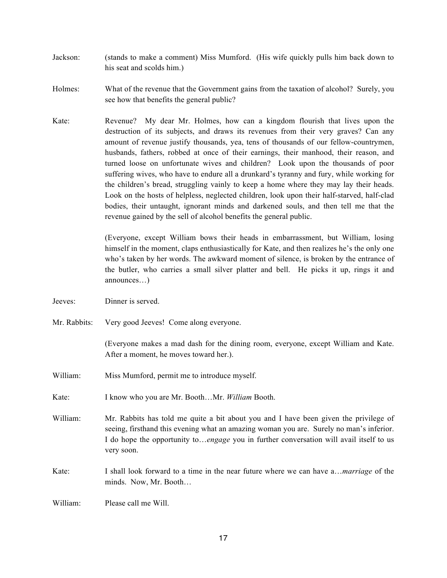- Jackson: (stands to make a comment) Miss Mumford. (His wife quickly pulls him back down to his seat and scolds him.)
- Holmes: What of the revenue that the Government gains from the taxation of alcohol? Surely, you see how that benefits the general public?
- Kate: Revenue? My dear Mr. Holmes, how can a kingdom flourish that lives upon the destruction of its subjects, and draws its revenues from their very graves? Can any amount of revenue justify thousands, yea, tens of thousands of our fellow-countrymen, husbands, fathers, robbed at once of their earnings, their manhood, their reason, and turned loose on unfortunate wives and children? Look upon the thousands of poor suffering wives, who have to endure all a drunkard's tyranny and fury, while working for the children's bread, struggling vainly to keep a home where they may lay their heads. Look on the hosts of helpless, neglected children, look upon their half-starved, half-clad bodies, their untaught, ignorant minds and darkened souls, and then tell me that the revenue gained by the sell of alcohol benefits the general public.

(Everyone, except William bows their heads in embarrassment, but William, losing himself in the moment, claps enthusiastically for Kate, and then realizes he's the only one who's taken by her words. The awkward moment of silence, is broken by the entrance of the butler, who carries a small silver platter and bell. He picks it up, rings it and announces…)

- Jeeves: Dinner is served.
- Mr. Rabbits: Very good Jeeves! Come along everyone.

(Everyone makes a mad dash for the dining room, everyone, except William and Kate. After a moment, he moves toward her.).

- William: Miss Mumford, permit me to introduce myself.
- Kate: I know who you are Mr. Booth…Mr. *William* Booth.

William: Mr. Rabbits has told me quite a bit about you and I have been given the privilege of seeing, firsthand this evening what an amazing woman you are. Surely no man's inferior. I do hope the opportunity to…*engage* you in further conversation will avail itself to us very soon.

Kate: I shall look forward to a time in the near future where we can have a…*marriage* of the minds. Now, Mr. Booth…

William: Please call me Will.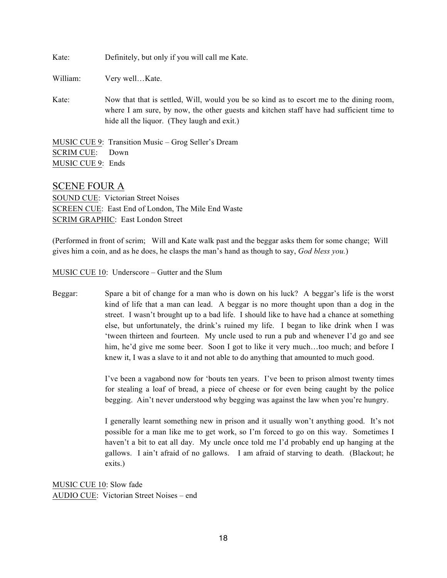| Kate: |  |  | Definitely, but only if you will call me Kate. |  |
|-------|--|--|------------------------------------------------|--|
|-------|--|--|------------------------------------------------|--|

William: Very well...Kate.

Kate: Now that that is settled, Will, would you be so kind as to escort me to the dining room, where I am sure, by now, the other guests and kitchen staff have had sufficient time to hide all the liquor. (They laugh and exit.)

MUSIC CUE 9: Transition Music – Grog Seller's Dream SCRIM CUE: Down MUSIC CUE 9: Ends

## SCENE FOUR A

SOUND CUE: Victorian Street Noises SCREEN CUE: East End of London, The Mile End Waste SCRIM GRAPHIC: East London Street

(Performed in front of scrim; Will and Kate walk past and the beggar asks them for some change; Will gives him a coin, and as he does, he clasps the man's hand as though to say, *God bless you.*)

MUSIC CUE 10: Underscore – Gutter and the Slum

Beggar: Spare a bit of change for a man who is down on his luck? A beggar's life is the worst kind of life that a man can lead. A beggar is no more thought upon than a dog in the street. I wasn't brought up to a bad life. I should like to have had a chance at something else, but unfortunately, the drink's ruined my life. I began to like drink when I was 'tween thirteen and fourteen. My uncle used to run a pub and whenever I'd go and see him, he'd give me some beer. Soon I got to like it very much...too much; and before I knew it, I was a slave to it and not able to do anything that amounted to much good.

> I've been a vagabond now for 'bouts ten years. I've been to prison almost twenty times for stealing a loaf of bread, a piece of cheese or for even being caught by the police begging. Ain't never understood why begging was against the law when you're hungry.

> I generally learnt something new in prison and it usually won't anything good. It's not possible for a man like me to get work, so I'm forced to go on this way. Sometimes I haven't a bit to eat all day. My uncle once told me I'd probably end up hanging at the gallows. I ain't afraid of no gallows. I am afraid of starving to death. (Blackout; he exits.)

MUSIC CUE 10: Slow fade AUDIO CUE: Victorian Street Noises – end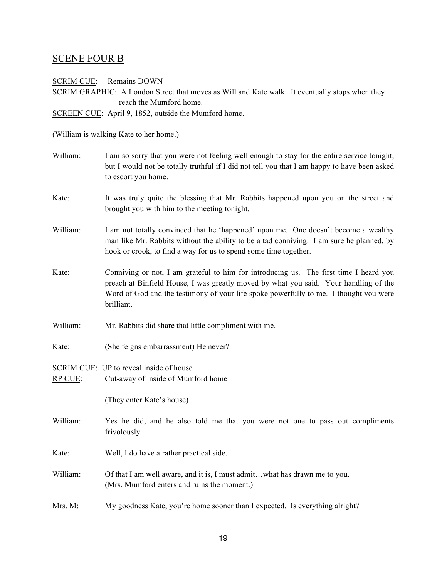## SCENE FOUR B

SCRIM CUE: Remains DOWN SCRIM GRAPHIC: A London Street that moves as Will and Kate walk. It eventually stops when they

reach the Mumford home.

SCREEN CUE: April 9, 1852, outside the Mumford home.

(William is walking Kate to her home.)

- William: I am so sorry that you were not feeling well enough to stay for the entire service tonight, but I would not be totally truthful if I did not tell you that I am happy to have been asked to escort you home.
- Kate: It was truly quite the blessing that Mr. Rabbits happened upon you on the street and brought you with him to the meeting tonight.
- William: I am not totally convinced that he 'happened' upon me. One doesn't become a wealthy man like Mr. Rabbits without the ability to be a tad conniving. I am sure he planned, by hook or crook, to find a way for us to spend some time together.
- Kate: Conniving or not, I am grateful to him for introducing us. The first time I heard you preach at Binfield House, I was greatly moved by what you said. Your handling of the Word of God and the testimony of your life spoke powerfully to me. I thought you were brilliant.
- William: Mr. Rabbits did share that little compliment with me.
- Kate: (She feigns embarrassment) He never?

SCRIM CUE: UP to reveal inside of house RP CUE: Cut-away of inside of Mumford home

(They enter Kate's house)

William: Yes he did, and he also told me that you were not one to pass out compliments frivolously.

Kate: Well, I do have a rather practical side.

- William: Of that I am well aware, and it is, I must admit...what has drawn me to you. (Mrs. Mumford enters and ruins the moment.)
- Mrs. M: My goodness Kate, you're home sooner than I expected. Is everything alright?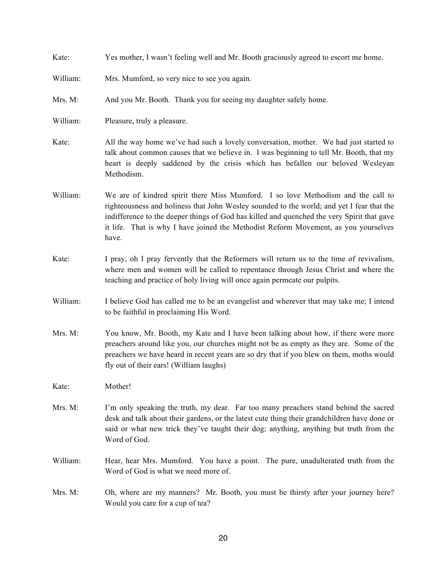| Kate:    | Yes mother, I wasn't feeling well and Mr. Booth graciously agreed to escort me home.                                                                                                                                                                                                                                                                                        |
|----------|-----------------------------------------------------------------------------------------------------------------------------------------------------------------------------------------------------------------------------------------------------------------------------------------------------------------------------------------------------------------------------|
| William: | Mrs. Mumford, so very nice to see you again.                                                                                                                                                                                                                                                                                                                                |
| Mrs. M:  | And you Mr. Booth. Thank you for seeing my daughter safely home.                                                                                                                                                                                                                                                                                                            |
| William: | Pleasure, truly a pleasure.                                                                                                                                                                                                                                                                                                                                                 |
| Kate:    | All the way home we've had such a lovely conversation, mother. We had just started to<br>talk about common causes that we believe in. I was beginning to tell Mr. Booth, that my<br>heart is deeply saddened by the crisis which has befallen our beloved Wesleyan<br>Methodism.                                                                                            |
| William: | We are of kindred spirit there Miss Mumford. I so love Methodism and the call to<br>righteousness and holiness that John Wesley sounded to the world; and yet I fear that the<br>indifference to the deeper things of God has killed and quenched the very Spirit that gave<br>it life. That is why I have joined the Methodist Reform Movement, as you yourselves<br>have. |
| Kate:    | I pray, oh I pray fervently that the Reformers will return us to the time of revivalism,<br>where men and women will be called to repentance through Jesus Christ and where the<br>teaching and practice of holy living will once again permeate our pulpits.                                                                                                               |
| William: | I believe God has called me to be an evangelist and wherever that may take me; I intend<br>to be faithful in proclaiming His Word.                                                                                                                                                                                                                                          |
| Mrs. M:  | You know, Mr. Booth, my Kate and I have been talking about how, if there were more<br>preachers around like you, our churches might not be as empty as they are. Some of the<br>preachers we have heard in recent years are so dry that if you blew on them, moths would<br>fly out of their ears! (William laughs)                                                         |
| Kate:    | Mother!                                                                                                                                                                                                                                                                                                                                                                     |
| Mrs. M:  | I'm only speaking the truth, my dear. Far too many preachers stand behind the sacred<br>desk and talk about their gardens, or the latest cute thing their grandchildren have done or<br>said or what new trick they've taught their dog; anything, anything but truth from the<br>Word of God.                                                                              |
| William: | Hear, hear Mrs. Mumford. You have a point. The pure, unadulterated truth from the<br>Word of God is what we need more of.                                                                                                                                                                                                                                                   |
| Mrs. M:  | Oh, where are my manners? Mr. Booth, you must be thirsty after your journey here?<br>Would you care for a cup of tea?                                                                                                                                                                                                                                                       |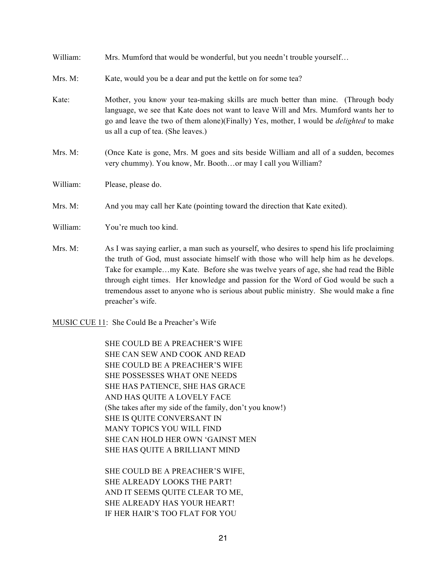| William: | Mrs. Mumford that would be wonderful, but you needn't trouble yourself                                                                                                                                                                                                                                          |
|----------|-----------------------------------------------------------------------------------------------------------------------------------------------------------------------------------------------------------------------------------------------------------------------------------------------------------------|
| Mrs. M:  | Kate, would you be a dear and put the kettle on for some tea?                                                                                                                                                                                                                                                   |
| Kate:    | Mother, you know your tea-making skills are much better than mine. (Through body<br>language, we see that Kate does not want to leave Will and Mrs. Mumford wants her to<br>go and leave the two of them alone)(Finally) Yes, mother, I would be <i>delighted</i> to make<br>us all a cup of tea. (She leaves.) |
| Mrs. M:  | (Once Kate is gone, Mrs. M goes and sits beside William and all of a sudden, becomes<br>very chummy). You know, Mr. Boothor may I call you William?                                                                                                                                                             |
| William: | Please, please do.                                                                                                                                                                                                                                                                                              |
| Mrs. M:  | And you may call her Kate (pointing toward the direction that Kate exited).                                                                                                                                                                                                                                     |
| William: | You're much too kind.                                                                                                                                                                                                                                                                                           |
| Mrs. M:  | As I was saying earlier, a man such as yourself, who desires to spend his life proclaiming                                                                                                                                                                                                                      |

the truth of God, must associate himself with those who will help him as he develops. Take for example…my Kate. Before she was twelve years of age, she had read the Bible through eight times. Her knowledge and passion for the Word of God would be such a tremendous asset to anyone who is serious about public ministry. She would make a fine preacher's wife.

MUSIC CUE 11: She Could Be a Preacher's Wife

SHE COULD BE A PREACHER'S WIFE SHE CAN SEW AND COOK AND READ SHE COULD BE A PREACHER'S WIFE SHE POSSESSES WHAT ONE NEEDS SHE HAS PATIENCE, SHE HAS GRACE AND HAS QUITE A LOVELY FACE (She takes after my side of the family, don't you know!) SHE IS QUITE CONVERSANT IN MANY TOPICS YOU WILL FIND SHE CAN HOLD HER OWN 'GAINST MEN SHE HAS QUITE A BRILLIANT MIND

SHE COULD BE A PREACHER'S WIFE, SHE ALREADY LOOKS THE PART! AND IT SEEMS QUITE CLEAR TO ME, SHE ALREADY HAS YOUR HEART! IF HER HAIR'S TOO FLAT FOR YOU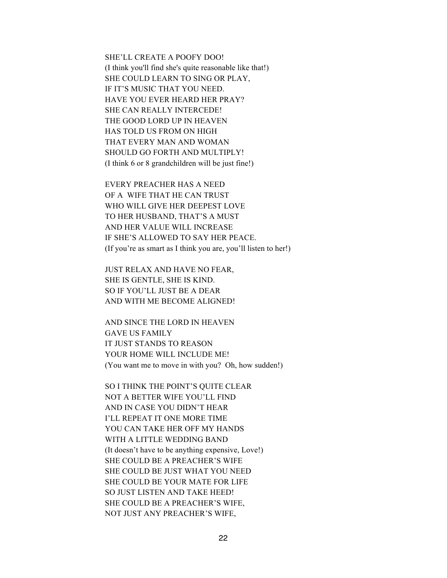SHE'LL CREATE A POOFY DOO!

(I think you'll find she's quite reasonable like that!) SHE COULD LEARN TO SING OR PLAY, IF IT'S MUSIC THAT YOU NEED. HAVE YOU EVER HEARD HER PRAY? SHE CAN REALLY INTERCEDE! THE GOOD LORD UP IN HEAVEN HAS TOLD US FROM ON HIGH THAT EVERY MAN AND WOMAN SHOULD GO FORTH AND MULTIPLY! (I think 6 or 8 grandchildren will be just fine!)

EVERY PREACHER HAS A NEED OF A WIFE THAT HE CAN TRUST WHO WILL GIVE HER DEEPEST LOVE TO HER HUSBAND, THAT'S A MUST AND HER VALUE WILL INCREASE IF SHE'S ALLOWED TO SAY HER PEACE. (If you're as smart as I think you are, you'll listen to her!)

JUST RELAX AND HAVE NO FEAR, SHE IS GENTLE, SHE IS KIND. SO IF YOU'LL JUST BE A DEAR AND WITH ME BECOME ALIGNED!

AND SINCE THE LORD IN HEAVEN GAVE US FAMILY IT JUST STANDS TO REASON YOUR HOME WILL INCLUDE ME! (You want me to move in with you? Oh, how sudden!)

SO I THINK THE POINT'S QUITE CLEAR NOT A BETTER WIFE YOU'LL FIND AND IN CASE YOU DIDN'T HEAR I'LL REPEAT IT ONE MORE TIME YOU CAN TAKE HER OFF MY HANDS WITH A LITTLE WEDDING BAND (It doesn't have to be anything expensive, Love!) SHE COULD BE A PREACHER'S WIFE SHE COULD BE JUST WHAT YOU NEED SHE COULD BE YOUR MATE FOR LIFE SO JUST LISTEN AND TAKE HEED! SHE COULD BE A PREACHER'S WIFE, NOT JUST ANY PREACHER'S WIFE,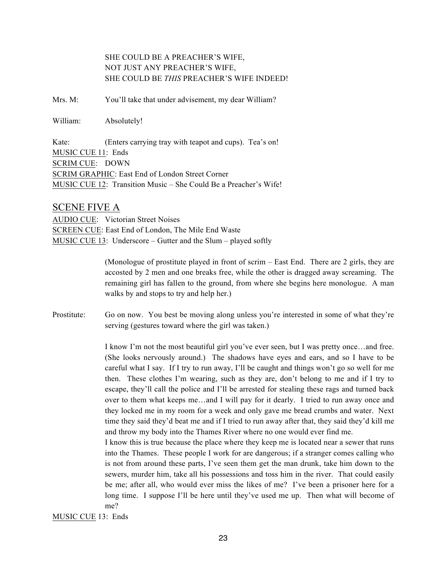## SHE COULD BE A PREACHER'S WIFE, NOT JUST ANY PREACHER'S WIFE, SHE COULD BE *THIS* PREACHER'S WIFE INDEED!

Mrs. M: You'll take that under advisement, my dear William?

William: Absolutely!

Kate: (Enters carrying tray with teapot and cups). Tea's on! MUSIC CUE 11: Ends SCRIM CUE: DOWN SCRIM GRAPHIC: East End of London Street Corner MUSIC CUE 12: Transition Music – She Could Be a Preacher's Wife!

#### SCENE FIVE A

AUDIO CUE: Victorian Street Noises SCREEN CUE: East End of London, The Mile End Waste MUSIC CUE 13: Underscore – Gutter and the Slum – played softly

> (Monologue of prostitute played in front of scrim – East End. There are 2 girls, they are accosted by 2 men and one breaks free, while the other is dragged away screaming. The remaining girl has fallen to the ground, from where she begins here monologue. A man walks by and stops to try and help her.)

Prostitute: Go on now. You best be moving along unless you're interested in some of what they're serving (gestures toward where the girl was taken.)

> I know I'm not the most beautiful girl you've ever seen, but I was pretty once…and free. (She looks nervously around.) The shadows have eyes and ears, and so I have to be careful what I say. If I try to run away, I'll be caught and things won't go so well for me then. These clothes I'm wearing, such as they are, don't belong to me and if I try to escape, they'll call the police and I'll be arrested for stealing these rags and turned back over to them what keeps me…and I will pay for it dearly. I tried to run away once and they locked me in my room for a week and only gave me bread crumbs and water. Next time they said they'd beat me and if I tried to run away after that, they said they'd kill me and throw my body into the Thames River where no one would ever find me.

> I know this is true because the place where they keep me is located near a sewer that runs into the Thames. These people I work for are dangerous; if a stranger comes calling who is not from around these parts, I've seen them get the man drunk, take him down to the sewers, murder him, take all his possessions and toss him in the river. That could easily be me; after all, who would ever miss the likes of me? I've been a prisoner here for a long time. I suppose I'll be here until they've used me up. Then what will become of me?

#### MUSIC CUE 13: Ends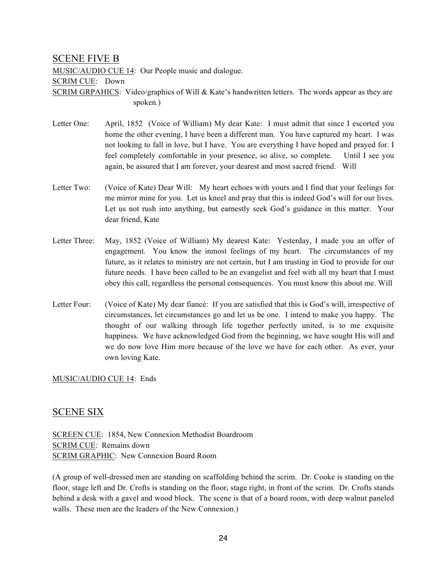## SCENE FIVE B

MUSIC/AUDIO CUE 14: Our People music and dialogue.

#### SCRIM CUE: Down

SCRIM GRPAHICS: Video/graphics of Will & Kate's handwritten letters. The words appear as they are spoken*.*)

- Letter One: April, 1852 (Voice of William) My dear Kate: I must admit that since I escorted you home the other evening, I have been a different man. You have captured my heart. I was not looking to fall in love, but I have. You are everything I have hoped and prayed for. I feel completely comfortable in your presence, so alive, so complete. Until I see you again, be assured that I am forever, your dearest and most sacred friend. Will
- Letter Two: (Voice of Kate) Dear Will: My heart echoes with yours and I find that your feelings for me mirror mine for you. Let us kneel and pray that this is indeed God's will for our lives. Let us not rush into anything, but earnestly seek God's guidance in this matter. Your dear friend, Kate
- Letter Three: May, 1852 (Voice of William) My dearest Kate: Yesterday, I made you an offer of engagement. You know the inmost feelings of my heart. The circumstances of my future, as it relates to ministry are not certain, but I am trusting in God to provide for our future needs. I have been called to be an evangelist and feel with all my heart that I must obey this call, regardless the personal consequences. You must know this about me. Will
- Letter Four: (Voice of Kate) My dear fiancé: If you are satisfied that this is God's will, irrespective of circumstances, let circumstances go and let us be one. I intend to make you happy. The thought of our walking through life together perfectly united, is to me exquisite happiness. We have acknowledged God from the beginning, we have sought His will and we do now love Him more because of the love we have for each other. As ever, your own loving Kate.

#### MUSIC/AUDIO CUE 14: Ends

## SCENE SIX

SCREEN CUE: 1854, New Connexion Methodist Boardroom SCRIM CUE: Remains down SCRIM GRAPHIC: New Connexion Board Room

(A group of well-dressed men are standing on scaffolding behind the scrim. Dr. Cooke is standing on the floor, stage left and Dr. Crofts is standing on the floor, stage right, in front of the scrim. Dr. Crofts stands behind a desk with a gavel and wood block. The scene is that of a board room, with deep walnut paneled walls. These men are the leaders of the New Connexion.)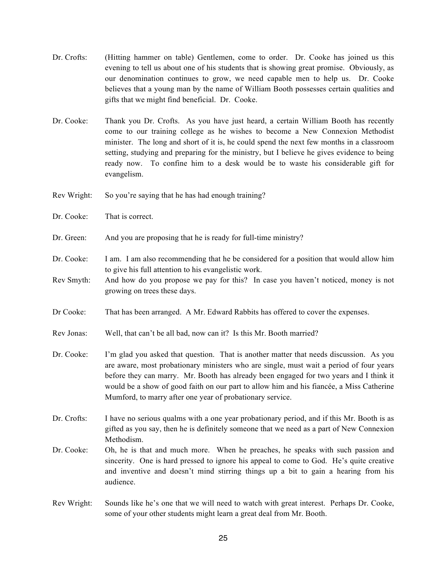- Dr. Crofts: (Hitting hammer on table) Gentlemen, come to order. Dr. Cooke has joined us this evening to tell us about one of his students that is showing great promise. Obviously, as our denomination continues to grow, we need capable men to help us. Dr. Cooke believes that a young man by the name of William Booth possesses certain qualities and gifts that we might find beneficial. Dr. Cooke.
- Dr. Cooke: Thank you Dr. Crofts. As you have just heard, a certain William Booth has recently come to our training college as he wishes to become a New Connexion Methodist minister. The long and short of it is, he could spend the next few months in a classroom setting, studying and preparing for the ministry, but I believe he gives evidence to being ready now. To confine him to a desk would be to waste his considerable gift for evangelism.
- Rev Wright: So you're saying that he has had enough training?
- Dr. Cooke: That is correct.
- Dr. Green: And you are proposing that he is ready for full-time ministry?
- Dr. Cooke: I am. I am also recommending that he be considered for a position that would allow him to give his full attention to his evangelistic work.
- Rev Smyth: And how do you propose we pay for this? In case you haven't noticed, money is not growing on trees these days.
- Dr Cooke: That has been arranged. A Mr. Edward Rabbits has offered to cover the expenses.
- Rev Jonas: Well, that can't be all bad, now can it? Is this Mr. Booth married?
- Dr. Cooke: I'm glad you asked that question. That is another matter that needs discussion. As you are aware, most probationary ministers who are single, must wait a period of four years before they can marry. Mr. Booth has already been engaged for two years and I think it would be a show of good faith on our part to allow him and his fiancée, a Miss Catherine Mumford, to marry after one year of probationary service.
- Dr. Crofts: I have no serious qualms with a one year probationary period, and if this Mr. Booth is as gifted as you say, then he is definitely someone that we need as a part of New Connexion Methodism.
- Dr. Cooke: Oh, he is that and much more. When he preaches, he speaks with such passion and sincerity. One is hard pressed to ignore his appeal to come to God. He's quite creative and inventive and doesn't mind stirring things up a bit to gain a hearing from his audience.
- Rev Wright: Sounds like he's one that we will need to watch with great interest. Perhaps Dr. Cooke, some of your other students might learn a great deal from Mr. Booth.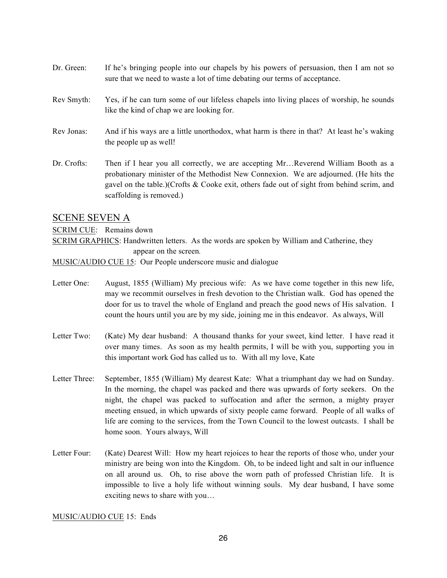- Dr. Green: If he's bringing people into our chapels by his powers of persuasion, then I am not so sure that we need to waste a lot of time debating our terms of acceptance.
- Rev Smyth: Yes, if he can turn some of our lifeless chapels into living places of worship, he sounds like the kind of chap we are looking for.
- Rev Jonas: And if his ways are a little unorthodox, what harm is there in that? At least he's waking the people up as well!
- Dr. Crofts: Then if I hear you all correctly, we are accepting Mr...Reverend William Booth as a probationary minister of the Methodist New Connexion. We are adjourned. (He hits the gavel on the table.)(Crofts & Cooke exit, others fade out of sight from behind scrim, and scaffolding is removed.)

#### SCENE SEVEN A

SCRIM CUE: Remains down

SCRIM GRAPHICS: Handwritten letters. As the words are spoken by William and Catherine, they appear on the screen*.*

MUSIC/AUDIO CUE 15: Our People underscore music and dialogue

- Letter One: August, 1855 (William) My precious wife: As we have come together in this new life, may we recommit ourselves in fresh devotion to the Christian walk. God has opened the door for us to travel the whole of England and preach the good news of His salvation. I count the hours until you are by my side, joining me in this endeavor. As always, Will
- Letter Two: (Kate) My dear husband: A thousand thanks for your sweet, kind letter. I have read it over many times. As soon as my health permits, I will be with you, supporting you in this important work God has called us to. With all my love, Kate
- Letter Three: September, 1855 (William) My dearest Kate: What a triumphant day we had on Sunday. In the morning, the chapel was packed and there was upwards of forty seekers. On the night, the chapel was packed to suffocation and after the sermon, a mighty prayer meeting ensued, in which upwards of sixty people came forward. People of all walks of life are coming to the services, from the Town Council to the lowest outcasts. I shall be home soon. Yours always, Will
- Letter Four: (Kate) Dearest Will: How my heart rejoices to hear the reports of those who, under your ministry are being won into the Kingdom. Oh, to be indeed light and salt in our influence on all around us. Oh, to rise above the worn path of professed Christian life. It is impossible to live a holy life without winning souls. My dear husband, I have some exciting news to share with you…

MUSIC/AUDIO CUE 15: Ends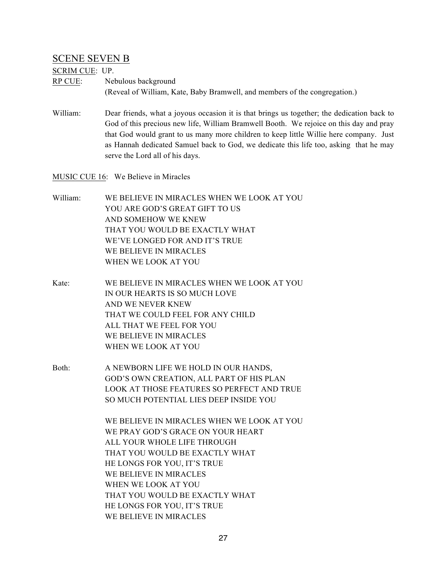## SCENE SEVEN B

#### SCRIM CUE: UP.

- RP CUE: Nebulous background (Reveal of William, Kate, Baby Bramwell, and members of the congregation.)
- William: Dear friends, what a joyous occasion it is that brings us together; the dedication back to God of this precious new life, William Bramwell Booth. We rejoice on this day and pray that God would grant to us many more children to keep little Willie here company. Just as Hannah dedicated Samuel back to God, we dedicate this life too, asking that he may serve the Lord all of his days.

MUSIC CUE 16: We Believe in Miracles

- William: WE BELIEVE IN MIRACLES WHEN WE LOOK AT YOU YOU ARE GOD'S GREAT GIFT TO US AND SOMEHOW WE KNEW THAT YOU WOULD BE EXACTLY WHAT WE'VE LONGED FOR AND IT'S TRUE WE BELIEVE IN MIRACLES WHEN WE LOOK AT YOU
- Kate: WE BELIEVE IN MIRACLES WHEN WE LOOK AT YOU IN OUR HEARTS IS SO MUCH LOVE AND WE NEVER KNEW THAT WE COULD FEEL FOR ANY CHILD ALL THAT WE FEEL FOR YOU WE BELIEVE IN MIRACLES WHEN WE LOOK AT YOU
- Both: A NEWBORN LIFE WE HOLD IN OUR HANDS, GOD'S OWN CREATION, ALL PART OF HIS PLAN LOOK AT THOSE FEATURES SO PERFECT AND TRUE SO MUCH POTENTIAL LIES DEEP INSIDE YOU

WE BELIEVE IN MIRACLES WHEN WE LOOK AT YOU WE PRAY GOD'S GRACE ON YOUR HEART ALL YOUR WHOLE LIFE THROUGH THAT YOU WOULD BE EXACTLY WHAT HE LONGS FOR YOU, IT'S TRUE WE BELIEVE IN MIRACLES WHEN WE LOOK AT YOU THAT YOU WOULD BE EXACTLY WHAT HE LONGS FOR YOU, IT'S TRUE WE BELIEVE IN MIRACLES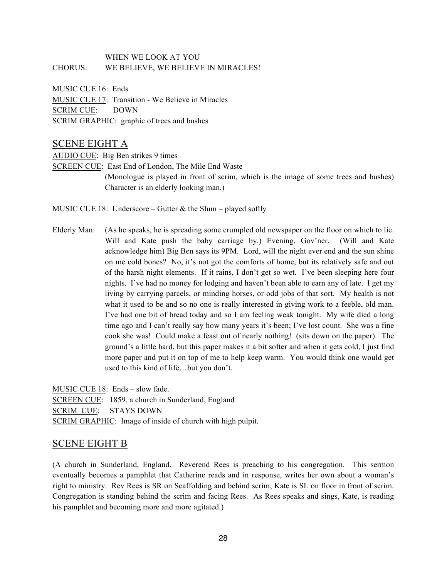### WHEN WE LOOK AT YOU CHORUS: WE BELIEVE, WE BELIEVE IN MIRACLES!

MUSIC CUE 16: Ends MUSIC CUE 17: Transition - We Believe in Miracles SCRIM CUE: DOWN SCRIM GRAPHIC: graphic of trees and bushes

## SCENE EIGHT A

AUDIO CUE: Big Ben strikes 9 times

SCREEN CUE: East End of London, The Mile End Waste

(Monologue is played in front of scrim, which is the image of some trees and bushes) Character is an elderly looking man.)

MUSIC CUE 18: Underscore – Gutter  $&$  the Slum – played softly

Elderly Man: (As he speaks, he is spreading some crumpled old newspaper on the floor on which to lie. Will and Kate push the baby carriage by.) Evening, Gov'ner. (Will and Kate acknowledge him) Big Ben says its 9PM. Lord, will the night ever end and the sun shine on me cold bones? No, it's not got the comforts of home, but its relatively safe and out of the harsh night elements. If it rains, I don't get so wet. I've been sleeping here four nights. I've had no money for lodging and haven't been able to earn any of late. I get my living by carrying parcels, or minding horses, or odd jobs of that sort. My health is not what it used to be and so no one is really interested in giving work to a feeble, old man. I've had one bit of bread today and so I am feeling weak tonight. My wife died a long time ago and I can't really say how many years it's been; I've lost count. She was a fine cook she was! Could make a feast out of nearly nothing! (sits down on the paper). The ground's a little hard, but this paper makes it a bit softer and when it gets cold, I just find more paper and put it on top of me to help keep warm. You would think one would get used to this kind of life…but you don't.

MUSIC CUE 18: Ends – slow fade. SCREEN CUE: 1859, a church in Sunderland, England SCRIM CUE: STAYS DOWN SCRIM GRAPHIC: Image of inside of church with high pulpit.

## SCENE EIGHT B

(A church in Sunderland, England. Reverend Rees is preaching to his congregation. This sermon eventually becomes a pamphlet that Catherine reads and in response, writes her own about a woman's right to ministry. Rev Rees is SR on Scaffolding and behind scrim; Kate is SL on floor in front of scrim. Congregation is standing behind the scrim and facing Rees. As Rees speaks and sings, Kate, is reading his pamphlet and becoming more and more agitated.)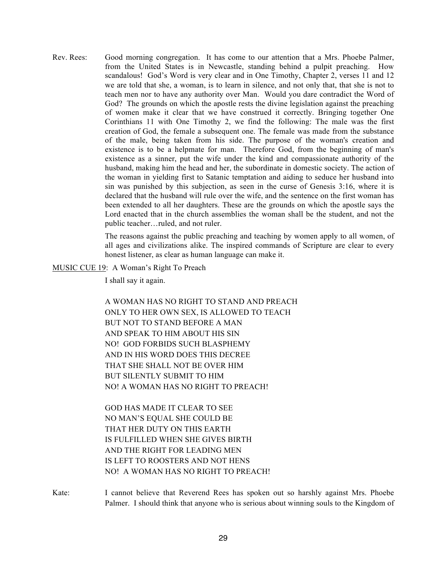Rev. Rees: Good morning congregation. It has come to our attention that a Mrs. Phoebe Palmer, from the United States is in Newcastle, standing behind a pulpit preaching. How scandalous! God's Word is very clear and in One Timothy, Chapter 2, verses 11 and 12 we are told that she, a woman, is to learn in silence, and not only that, that she is not to teach men nor to have any authority over Man. Would you dare contradict the Word of God? The grounds on which the apostle rests the divine legislation against the preaching of women make it clear that we have construed it correctly. Bringing together One Corinthians 11 with One Timothy 2, we find the following: The male was the first creation of God, the female a subsequent one. The female was made from the substance of the male, being taken from his side. The purpose of the woman's creation and existence is to be a helpmate for man. Therefore God, from the beginning of man's existence as a sinner, put the wife under the kind and compassionate authority of the husband, making him the head and her, the subordinate in domestic society. The action of the woman in yielding first to Satanic temptation and aiding to seduce her husband into sin was punished by this subjection, as seen in the curse of Genesis 3:16, where it is declared that the husband will rule over the wife, and the sentence on the first woman has been extended to all her daughters. These are the grounds on which the apostle says the Lord enacted that in the church assemblies the woman shall be the student, and not the public teacher…ruled, and not ruler.

> The reasons against the public preaching and teaching by women apply to all women, of all ages and civilizations alike. The inspired commands of Scripture are clear to every honest listener, as clear as human language can make it.

MUSIC CUE 19: A Woman's Right To Preach

I shall say it again.

A WOMAN HAS NO RIGHT TO STAND AND PREACH ONLY TO HER OWN SEX, IS ALLOWED TO TEACH BUT NOT TO STAND BEFORE A MAN AND SPEAK TO HIM ABOUT HIS SIN NO! GOD FORBIDS SUCH BLASPHEMY AND IN HIS WORD DOES THIS DECREE THAT SHE SHALL NOT BE OVER HIM BUT SILENTLY SUBMIT TO HIM NO! A WOMAN HAS NO RIGHT TO PREACH!

GOD HAS MADE IT CLEAR TO SEE NO MAN'S EQUAL SHE COULD BE THAT HER DUTY ON THIS EARTH IS FULFILLED WHEN SHE GIVES BIRTH AND THE RIGHT FOR LEADING MEN IS LEFT TO ROOSTERS AND NOT HENS NO! A WOMAN HAS NO RIGHT TO PREACH!

Kate: I cannot believe that Reverend Rees has spoken out so harshly against Mrs. Phoebe Palmer. I should think that anyone who is serious about winning souls to the Kingdom of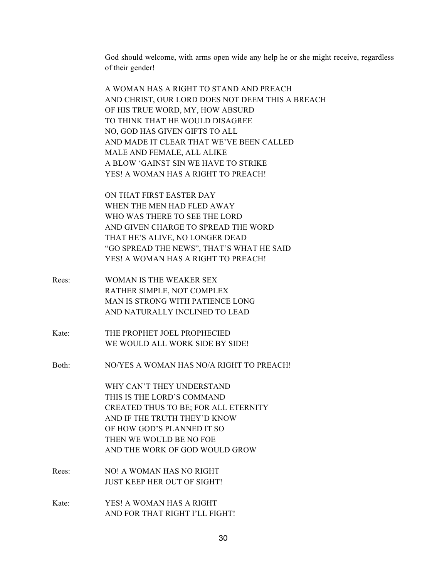God should welcome, with arms open wide any help he or she might receive, regardless of their gender!

A WOMAN HAS A RIGHT TO STAND AND PREACH AND CHRIST, OUR LORD DOES NOT DEEM THIS A BREACH OF HIS TRUE WORD, MY, HOW ABSURD TO THINK THAT HE WOULD DISAGREE NO, GOD HAS GIVEN GIFTS TO ALL AND MADE IT CLEAR THAT WE'VE BEEN CALLED MALE AND FEMALE, ALL ALIKE A BLOW 'GAINST SIN WE HAVE TO STRIKE YES! A WOMAN HAS A RIGHT TO PREACH!

ON THAT FIRST EASTER DAY WHEN THE MEN HAD FLED AWAY WHO WAS THERE TO SEE THE LORD AND GIVEN CHARGE TO SPREAD THE WORD THAT HE'S ALIVE, NO LONGER DEAD "GO SPREAD THE NEWS", THAT'S WHAT HE SAID YES! A WOMAN HAS A RIGHT TO PREACH!

- Rees: WOMAN IS THE WEAKER SEX RATHER SIMPLE, NOT COMPLEX MAN IS STRONG WITH PATIENCE LONG AND NATURALLY INCLINED TO LEAD
- Kate: THE PROPHET JOEL PROPHECIED WE WOULD ALL WORK SIDE BY SIDE!

Both: NO/YES A WOMAN HAS NO/A RIGHT TO PREACH!

WHY CAN'T THEY UNDERSTAND THIS IS THE LORD'S COMMAND CREATED THUS TO BE; FOR ALL ETERNITY AND IF THE TRUTH THEY'D KNOW OF HOW GOD'S PLANNED IT SO THEN WE WOULD BE NO FOE AND THE WORK OF GOD WOULD GROW

- Rees: NO! A WOMAN HAS NO RIGHT JUST KEEP HER OUT OF SIGHT!
- Kate: YES! A WOMAN HAS A RIGHT AND FOR THAT RIGHT I'LL FIGHT!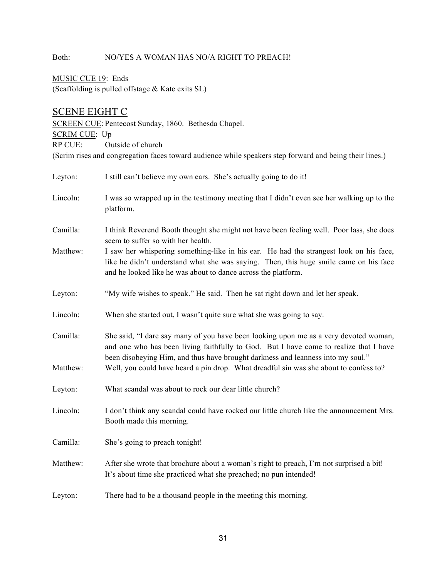## Both: NO/YES A WOMAN HAS NO/A RIGHT TO PREACH!

MUSIC CUE 19: Ends (Scaffolding is pulled offstage & Kate exits SL)

## SCENE EIGHT C

SCREEN CUE: Pentecost Sunday, 1860. Bethesda Chapel. SCRIM CUE: Up RP CUE: Outside of church (Scrim rises and congregation faces toward audience while speakers step forward and being their lines.)

| Leyton:              | I still can't believe my own ears. She's actually going to do it!                                                                                                                                                                                                                                                                                         |
|----------------------|-----------------------------------------------------------------------------------------------------------------------------------------------------------------------------------------------------------------------------------------------------------------------------------------------------------------------------------------------------------|
| Lincoln:             | I was so wrapped up in the testimony meeting that I didn't even see her walking up to the<br>platform.                                                                                                                                                                                                                                                    |
| Camilla:             | I think Reverend Booth thought she might not have been feeling well. Poor lass, she does<br>seem to suffer so with her health.                                                                                                                                                                                                                            |
| Matthew:             | I saw her whispering something-like in his ear. He had the strangest look on his face,<br>like he didn't understand what she was saying. Then, this huge smile came on his face<br>and he looked like he was about to dance across the platform.                                                                                                          |
| Leyton:              | "My wife wishes to speak." He said. Then he sat right down and let her speak.                                                                                                                                                                                                                                                                             |
| Lincoln:             | When she started out, I wasn't quite sure what she was going to say.                                                                                                                                                                                                                                                                                      |
| Camilla:<br>Matthew: | She said, "I dare say many of you have been looking upon me as a very devoted woman,<br>and one who has been living faithfully to God. But I have come to realize that I have<br>been disobeying Him, and thus have brought darkness and leanness into my soul."<br>Well, you could have heard a pin drop. What dreadful sin was she about to confess to? |
| Leyton:              | What scandal was about to rock our dear little church?                                                                                                                                                                                                                                                                                                    |
| Lincoln:             | I don't think any scandal could have rocked our little church like the announcement Mrs.<br>Booth made this morning.                                                                                                                                                                                                                                      |
| Camilla:             | She's going to preach tonight!                                                                                                                                                                                                                                                                                                                            |
| Matthew:             | After she wrote that brochure about a woman's right to preach, I'm not surprised a bit!<br>It's about time she practiced what she preached; no pun intended!                                                                                                                                                                                              |
| Leyton:              | There had to be a thousand people in the meeting this morning.                                                                                                                                                                                                                                                                                            |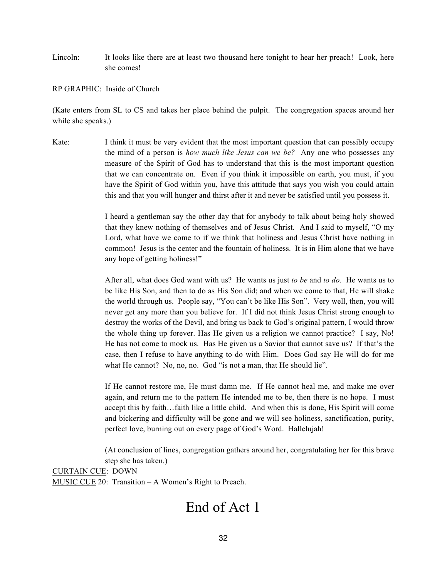Lincoln: It looks like there are at least two thousand here tonight to hear her preach! Look, here she comes!

RP GRAPHIC: Inside of Church

(Kate enters from SL to CS and takes her place behind the pulpit. The congregation spaces around her while she speaks.)

Kate: I think it must be very evident that the most important question that can possibly occupy the mind of a person is *how much like Jesus can we be?* Any one who possesses any measure of the Spirit of God has to understand that this is the most important question that we can concentrate on. Even if you think it impossible on earth, you must, if you have the Spirit of God within you, have this attitude that says you wish you could attain this and that you will hunger and thirst after it and never be satisfied until you possess it.

> I heard a gentleman say the other day that for anybody to talk about being holy showed that they knew nothing of themselves and of Jesus Christ. And I said to myself, "O my Lord, what have we come to if we think that holiness and Jesus Christ have nothing in common! Jesus is the center and the fountain of holiness. It is in Him alone that we have any hope of getting holiness!"

> After all, what does God want with us? He wants us just *to be* and *to do.* He wants us to be like His Son, and then to do as His Son did; and when we come to that, He will shake the world through us. People say, "You can't be like His Son". Very well, then, you will never get any more than you believe for. If I did not think Jesus Christ strong enough to destroy the works of the Devil, and bring us back to God's original pattern, I would throw the whole thing up forever. Has He given us a religion we cannot practice? I say, No! He has not come to mock us. Has He given us a Savior that cannot save us? If that's the case, then I refuse to have anything to do with Him. Does God say He will do for me what He cannot? No, no, no. God "is not a man, that He should lie".

> If He cannot restore me, He must damn me. If He cannot heal me, and make me over again, and return me to the pattern He intended me to be, then there is no hope. I must accept this by faith…faith like a little child. And when this is done, His Spirit will come and bickering and difficulty will be gone and we will see holiness, sanctification, purity, perfect love, burning out on every page of God's Word. Hallelujah!

> (At conclusion of lines, congregation gathers around her, congratulating her for this brave step she has taken.)

CURTAIN CUE: DOWN MUSIC CUE 20: Transition – A Women's Right to Preach.

## End of Act 1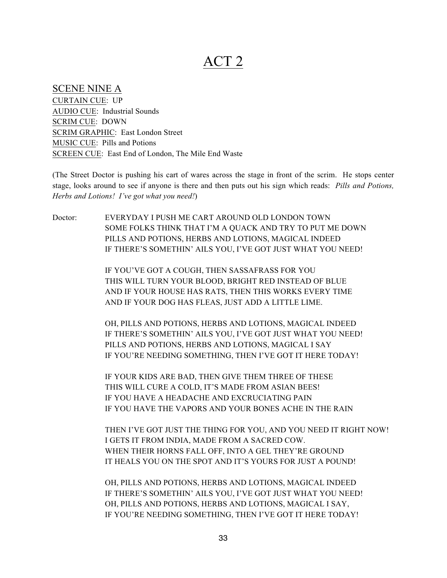## ACT 2

## SCENE NINE A

CURTAIN CUE: UP AUDIO CUE: Industrial Sounds SCRIM CUE: DOWN SCRIM GRAPHIC: East London Street MUSIC CUE: Pills and Potions SCREEN CUE: East End of London, The Mile End Waste

(The Street Doctor is pushing his cart of wares across the stage in front of the scrim. He stops center stage, looks around to see if anyone is there and then puts out his sign which reads: *Pills and Potions, Herbs and Lotions! I've got what you need!*)

Doctor: EVERYDAY I PUSH ME CART AROUND OLD LONDON TOWN SOME FOLKS THINK THAT I'M A QUACK AND TRY TO PUT ME DOWN PILLS AND POTIONS, HERBS AND LOTIONS, MAGICAL INDEED IF THERE'S SOMETHIN' AILS YOU, I'VE GOT JUST WHAT YOU NEED!

> IF YOU'VE GOT A COUGH, THEN SASSAFRASS FOR YOU THIS WILL TURN YOUR BLOOD, BRIGHT RED INSTEAD OF BLUE AND IF YOUR HOUSE HAS RATS, THEN THIS WORKS EVERY TIME AND IF YOUR DOG HAS FLEAS, JUST ADD A LITTLE LIME.

OH, PILLS AND POTIONS, HERBS AND LOTIONS, MAGICAL INDEED IF THERE'S SOMETHIN' AILS YOU, I'VE GOT JUST WHAT YOU NEED! PILLS AND POTIONS, HERBS AND LOTIONS, MAGICAL I SAY IF YOU'RE NEEDING SOMETHING, THEN I'VE GOT IT HERE TODAY!

IF YOUR KIDS ARE BAD, THEN GIVE THEM THREE OF THESE THIS WILL CURE A COLD, IT'S MADE FROM ASIAN BEES! IF YOU HAVE A HEADACHE AND EXCRUCIATING PAIN IF YOU HAVE THE VAPORS AND YOUR BONES ACHE IN THE RAIN

THEN I'VE GOT JUST THE THING FOR YOU, AND YOU NEED IT RIGHT NOW! I GETS IT FROM INDIA, MADE FROM A SACRED COW. WHEN THEIR HORNS FALL OFF, INTO A GEL THEY'RE GROUND IT HEALS YOU ON THE SPOT AND IT'S YOURS FOR JUST A POUND!

OH, PILLS AND POTIONS, HERBS AND LOTIONS, MAGICAL INDEED IF THERE'S SOMETHIN' AILS YOU, I'VE GOT JUST WHAT YOU NEED! OH, PILLS AND POTIONS, HERBS AND LOTIONS, MAGICAL I SAY, IF YOU'RE NEEDING SOMETHING, THEN I'VE GOT IT HERE TODAY!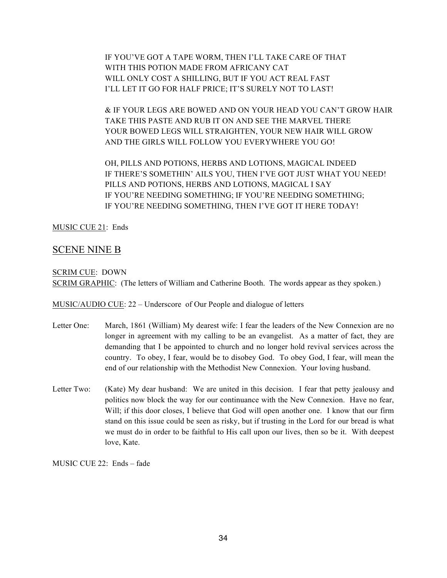IF YOU'VE GOT A TAPE WORM, THEN I'LL TAKE CARE OF THAT WITH THIS POTION MADE FROM AFRICANY CAT WILL ONLY COST A SHILLING, BUT IF YOU ACT REAL FAST I'LL LET IT GO FOR HALF PRICE; IT'S SURELY NOT TO LAST!

& IF YOUR LEGS ARE BOWED AND ON YOUR HEAD YOU CAN'T GROW HAIR TAKE THIS PASTE AND RUB IT ON AND SEE THE MARVEL THERE YOUR BOWED LEGS WILL STRAIGHTEN, YOUR NEW HAIR WILL GROW AND THE GIRLS WILL FOLLOW YOU EVERYWHERE YOU GO!

OH, PILLS AND POTIONS, HERBS AND LOTIONS, MAGICAL INDEED IF THERE'S SOMETHIN' AILS YOU, THEN I'VE GOT JUST WHAT YOU NEED! PILLS AND POTIONS, HERBS AND LOTIONS, MAGICAL I SAY IF YOU'RE NEEDING SOMETHING; IF YOU'RE NEEDING SOMETHING; IF YOU'RE NEEDING SOMETHING, THEN I'VE GOT IT HERE TODAY!

MUSIC CUE 21: Ends

## SCENE NINE B

#### SCRIM CUE: DOWN

SCRIM GRAPHIC: (The letters of William and Catherine Booth. The words appear as they spoken.)

MUSIC/AUDIO CUE: 22 – Underscore of Our People and dialogue of letters

- Letter One: March, 1861 (William) My dearest wife: I fear the leaders of the New Connexion are no longer in agreement with my calling to be an evangelist. As a matter of fact, they are demanding that I be appointed to church and no longer hold revival services across the country. To obey, I fear, would be to disobey God. To obey God, I fear, will mean the end of our relationship with the Methodist New Connexion. Your loving husband.
- Letter Two: (Kate) My dear husband: We are united in this decision. I fear that petty jealousy and politics now block the way for our continuance with the New Connexion. Have no fear, Will; if this door closes, I believe that God will open another one. I know that our firm stand on this issue could be seen as risky, but if trusting in the Lord for our bread is what we must do in order to be faithful to His call upon our lives, then so be it. With deepest love, Kate.

MUSIC CUE 22: Ends – fade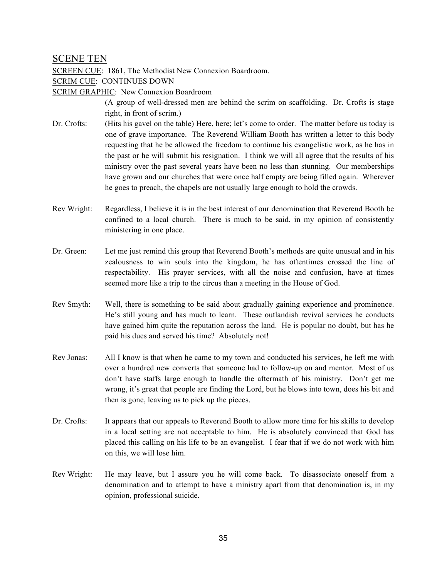## SCENE TEN

SCREEN CUE: 1861, The Methodist New Connexion Boardroom.

SCRIM CUE: CONTINUES DOWN

SCRIM GRAPHIC: New Connexion Boardroom

(A group of well-dressed men are behind the scrim on scaffolding. Dr. Crofts is stage right, in front of scrim.)

- Dr. Crofts: (Hits his gavel on the table) Here, here; let's come to order. The matter before us today is one of grave importance. The Reverend William Booth has written a letter to this body requesting that he be allowed the freedom to continue his evangelistic work, as he has in the past or he will submit his resignation. I think we will all agree that the results of his ministry over the past several years have been no less than stunning. Our memberships have grown and our churches that were once half empty are being filled again. Wherever he goes to preach, the chapels are not usually large enough to hold the crowds.
- Rev Wright: Regardless, I believe it is in the best interest of our denomination that Reverend Booth be confined to a local church. There is much to be said, in my opinion of consistently ministering in one place.
- Dr. Green: Let me just remind this group that Reverend Booth's methods are quite unusual and in his zealousness to win souls into the kingdom, he has oftentimes crossed the line of respectability. His prayer services, with all the noise and confusion, have at times seemed more like a trip to the circus than a meeting in the House of God.
- Rev Smyth: Well, there is something to be said about gradually gaining experience and prominence. He's still young and has much to learn. These outlandish revival services he conducts have gained him quite the reputation across the land. He is popular no doubt, but has he paid his dues and served his time? Absolutely not!
- Rev Jonas: All I know is that when he came to my town and conducted his services, he left me with over a hundred new converts that someone had to follow-up on and mentor. Most of us don't have staffs large enough to handle the aftermath of his ministry. Don't get me wrong, it's great that people are finding the Lord, but he blows into town, does his bit and then is gone, leaving us to pick up the pieces.
- Dr. Crofts: It appears that our appeals to Reverend Booth to allow more time for his skills to develop in a local setting are not acceptable to him. He is absolutely convinced that God has placed this calling on his life to be an evangelist. I fear that if we do not work with him on this, we will lose him.
- Rev Wright: He may leave, but I assure you he will come back. To disassociate oneself from a denomination and to attempt to have a ministry apart from that denomination is, in my opinion, professional suicide.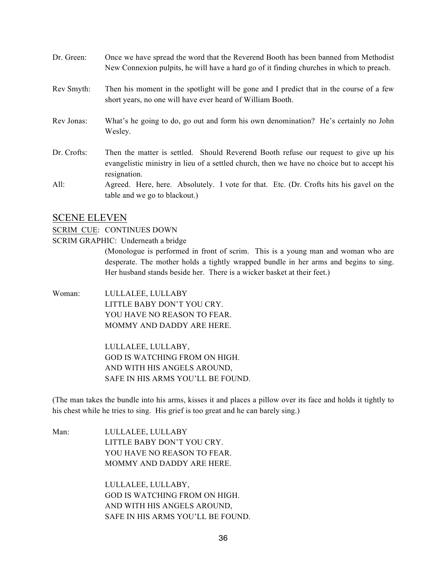| Dr. Green:  | Once we have spread the word that the Reverend Booth has been banned from Methodist<br>New Connexion pulpits, he will have a hard go of it finding churches in which to preach.                    |
|-------------|----------------------------------------------------------------------------------------------------------------------------------------------------------------------------------------------------|
| Rev Smyth:  | Then his moment in the spotlight will be gone and I predict that in the course of a few<br>short years, no one will have ever heard of William Booth.                                              |
| Rev Jonas:  | What's he going to do, go out and form his own denomination? He's certainly no John<br>Wesley.                                                                                                     |
| Dr. Crofts: | Then the matter is settled. Should Reverend Booth refuse our request to give up his<br>evangelistic ministry in lieu of a settled church, then we have no choice but to accept his<br>resignation. |
| All:        | Agreed. Here, here. Absolutely. I vote for that. Etc. (Dr. Crofts hits his gavel on the<br>table and we go to blackout.)                                                                           |

#### SCENE ELEVEN

#### SCRIM CUE: CONTINUES DOWN

SCRIM GRAPHIC: Underneath a bridge

(Monologue is performed in front of scrim. This is a young man and woman who are desperate. The mother holds a tightly wrapped bundle in her arms and begins to sing. Her husband stands beside her. There is a wicker basket at their feet.)

Woman: LULLALEE, LULLABY LITTLE BABY DON'T YOU CRY. YOU HAVE NO REASON TO FEAR. MOMMY AND DADDY ARE HERE.

> LULLALEE, LULLABY, GOD IS WATCHING FROM ON HIGH. AND WITH HIS ANGELS AROUND, SAFE IN HIS ARMS YOU'LL BE FOUND.

(The man takes the bundle into his arms, kisses it and places a pillow over its face and holds it tightly to his chest while he tries to sing. His grief is too great and he can barely sing.)

Man: LULLALEE, LULLABY LITTLE BABY DON'T YOU CRY. YOU HAVE NO REASON TO FEAR. MOMMY AND DADDY ARE HERE.

> LULLALEE, LULLABY, GOD IS WATCHING FROM ON HIGH. AND WITH HIS ANGELS AROUND, SAFE IN HIS ARMS YOU'LL BE FOUND.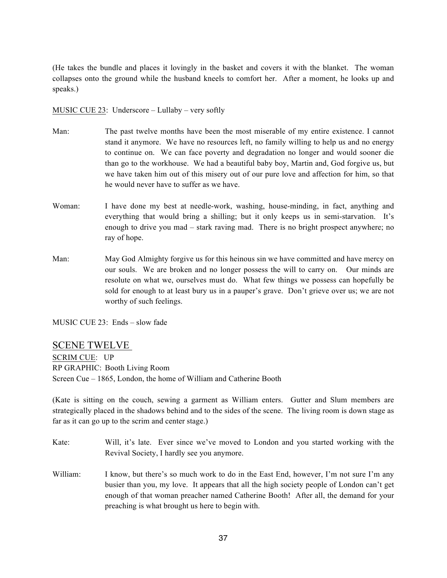(He takes the bundle and places it lovingly in the basket and covers it with the blanket. The woman collapses onto the ground while the husband kneels to comfort her. After a moment, he looks up and speaks.)

MUSIC CUE 23: Underscore – Lullaby – very softly

- Man: The past twelve months have been the most miserable of my entire existence. I cannot stand it anymore. We have no resources left, no family willing to help us and no energy to continue on. We can face poverty and degradation no longer and would sooner die than go to the workhouse. We had a beautiful baby boy, Martin and, God forgive us, but we have taken him out of this misery out of our pure love and affection for him, so that he would never have to suffer as we have.
- Woman: I have done my best at needle-work, washing, house-minding, in fact, anything and everything that would bring a shilling; but it only keeps us in semi-starvation. It's enough to drive you mad – stark raving mad. There is no bright prospect anywhere; no ray of hope.
- Man: May God Almighty forgive us for this heinous sin we have committed and have mercy on our souls. We are broken and no longer possess the will to carry on. Our minds are resolute on what we, ourselves must do. What few things we possess can hopefully be sold for enough to at least bury us in a pauper's grave. Don't grieve over us; we are not worthy of such feelings.

MUSIC CUE 23: Ends – slow fade

## SCENE TWELVE

SCRIM CUE: UP RP GRAPHIC: Booth Living Room Screen Cue – 1865, London, the home of William and Catherine Booth

(Kate is sitting on the couch, sewing a garment as William enters. Gutter and Slum members are strategically placed in the shadows behind and to the sides of the scene. The living room is down stage as far as it can go up to the scrim and center stage.)

- Kate: Will, it's late. Ever since we've moved to London and you started working with the Revival Society, I hardly see you anymore.
- William: I know, but there's so much work to do in the East End, however, I'm not sure I'm any busier than you, my love. It appears that all the high society people of London can't get enough of that woman preacher named Catherine Booth! After all, the demand for your preaching is what brought us here to begin with.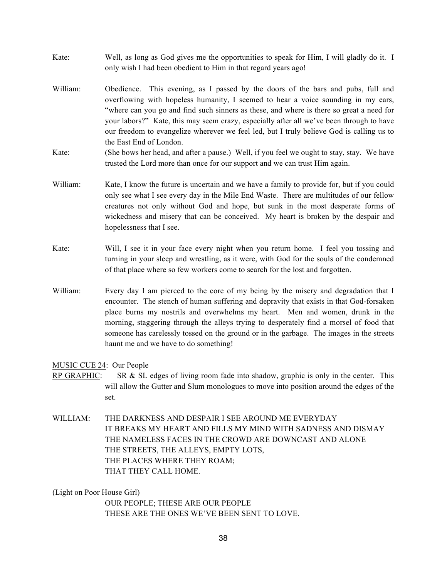- Kate: Well, as long as God gives me the opportunities to speak for Him, I will gladly do it. I only wish I had been obedient to Him in that regard years ago!
- William: Obedience. This evening, as I passed by the doors of the bars and pubs, full and overflowing with hopeless humanity, I seemed to hear a voice sounding in my ears, "where can you go and find such sinners as these, and where is there so great a need for your labors?" Kate, this may seem crazy, especially after all we've been through to have our freedom to evangelize wherever we feel led, but I truly believe God is calling us to the East End of London.
- Kate: (She bows her head, and after a pause.) Well, if you feel we ought to stay, stay. We have trusted the Lord more than once for our support and we can trust Him again.
- William: Kate, I know the future is uncertain and we have a family to provide for, but if you could only see what I see every day in the Mile End Waste. There are multitudes of our fellow creatures not only without God and hope, but sunk in the most desperate forms of wickedness and misery that can be conceived. My heart is broken by the despair and hopelessness that I see.
- Kate: Will, I see it in your face every night when you return home. I feel you tossing and turning in your sleep and wrestling, as it were, with God for the souls of the condemned of that place where so few workers come to search for the lost and forgotten.
- William: Every day I am pierced to the core of my being by the misery and degradation that I encounter. The stench of human suffering and depravity that exists in that God-forsaken place burns my nostrils and overwhelms my heart. Men and women, drunk in the morning, staggering through the alleys trying to desperately find a morsel of food that someone has carelessly tossed on the ground or in the garbage. The images in the streets haunt me and we have to do something!

#### MUSIC CUE 24: Our People

- RP GRAPHIC: SR & SL edges of living room fade into shadow, graphic is only in the center. This will allow the Gutter and Slum monologues to move into position around the edges of the set.
- WILLIAM: THE DARKNESS AND DESPAIR I SEE AROUND ME EVERYDAY IT BREAKS MY HEART AND FILLS MY MIND WITH SADNESS AND DISMAY THE NAMELESS FACES IN THE CROWD ARE DOWNCAST AND ALONE THE STREETS, THE ALLEYS, EMPTY LOTS, THE PLACES WHERE THEY ROAM; THAT THEY CALL HOME.

(Light on Poor House Girl)

OUR PEOPLE; THESE ARE OUR PEOPLE THESE ARE THE ONES WE'VE BEEN SENT TO LOVE.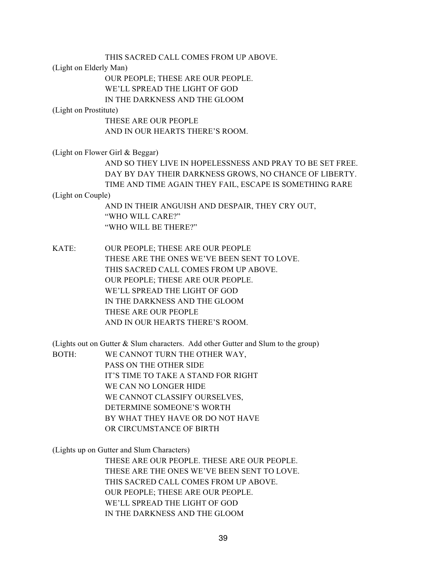THIS SACRED CALL COMES FROM UP ABOVE.

(Light on Elderly Man)

OUR PEOPLE; THESE ARE OUR PEOPLE. WE'LL SPREAD THE LIGHT OF GOD

IN THE DARKNESS AND THE GLOOM

(Light on Prostitute)

THESE ARE OUR PEOPLE AND IN OUR HEARTS THERE'S ROOM.

(Light on Flower Girl & Beggar)

AND SO THEY LIVE IN HOPELESSNESS AND PRAY TO BE SET FREE. DAY BY DAY THEIR DARKNESS GROWS, NO CHANCE OF LIBERTY. TIME AND TIME AGAIN THEY FAIL, ESCAPE IS SOMETHING RARE

(Light on Couple)

AND IN THEIR ANGUISH AND DESPAIR, THEY CRY OUT, "WHO WILL CARE?" "WHO WILL BE THERE?"

KATE: OUR PEOPLE; THESE ARE OUR PEOPLE THESE ARE THE ONES WE'VE BEEN SENT TO LOVE. THIS SACRED CALL COMES FROM UP ABOVE. OUR PEOPLE; THESE ARE OUR PEOPLE. WE'LL SPREAD THE LIGHT OF GOD IN THE DARKNESS AND THE GLOOM THESE ARE OUR PEOPLE AND IN OUR HEARTS THERE'S ROOM.

(Lights out on Gutter & Slum characters. Add other Gutter and Slum to the group) BOTH: WE CANNOT TURN THE OTHER WAY, PASS ON THE OTHER SIDE IT'S TIME TO TAKE A STAND FOR RIGHT WE CAN NO LONGER HIDE WE CANNOT CLASSIFY OURSELVES, DETERMINE SOMEONE'S WORTH BY WHAT THEY HAVE OR DO NOT HAVE OR CIRCUMSTANCE OF BIRTH

(Lights up on Gutter and Slum Characters)

THESE ARE OUR PEOPLE. THESE ARE OUR PEOPLE. THESE ARE THE ONES WE'VE BEEN SENT TO LOVE. THIS SACRED CALL COMES FROM UP ABOVE. OUR PEOPLE; THESE ARE OUR PEOPLE. WE'LL SPREAD THE LIGHT OF GOD IN THE DARKNESS AND THE GLOOM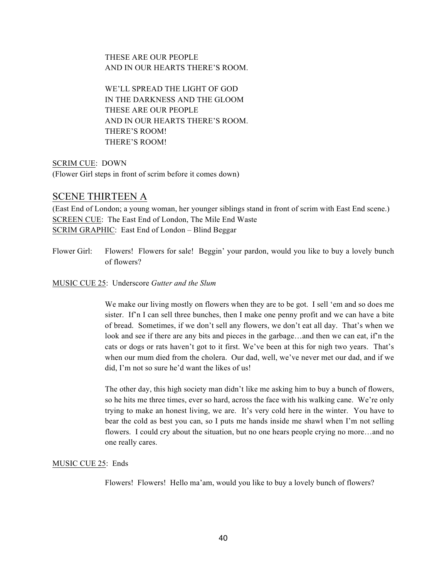THESE ARE OUR PEOPLE AND IN OUR HEARTS THERE'S ROOM.

WE'LL SPREAD THE LIGHT OF GOD IN THE DARKNESS AND THE GLOOM THESE ARE OUR PEOPLE AND IN OUR HEARTS THERE'S ROOM. THERE'S ROOM! THERE'S ROOM!

SCRIM CUE: DOWN (Flower Girl steps in front of scrim before it comes down)

## SCENE THIRTEEN A

(East End of London; a young woman, her younger siblings stand in front of scrim with East End scene.) SCREEN CUE: The East End of London, The Mile End Waste SCRIM GRAPHIC: East End of London – Blind Beggar

Flower Girl: Flowers! Flowers for sale! Beggin' your pardon, would you like to buy a lovely bunch of flowers?

MUSIC CUE 25: Underscore *Gutter and the Slum*

We make our living mostly on flowers when they are to be got. I sell 'em and so does me sister. If'n I can sell three bunches, then I make one penny profit and we can have a bite of bread. Sometimes, if we don't sell any flowers, we don't eat all day. That's when we look and see if there are any bits and pieces in the garbage…and then we can eat, if'n the cats or dogs or rats haven't got to it first. We've been at this for nigh two years. That's when our mum died from the cholera. Our dad, well, we've never met our dad, and if we did, I'm not so sure he'd want the likes of us!

The other day, this high society man didn't like me asking him to buy a bunch of flowers, so he hits me three times, ever so hard, across the face with his walking cane. We're only trying to make an honest living, we are. It's very cold here in the winter. You have to bear the cold as best you can, so I puts me hands inside me shawl when I'm not selling flowers. I could cry about the situation, but no one hears people crying no more...and no one really cares.

## MUSIC CUE 25: Ends

Flowers! Flowers! Hello ma'am, would you like to buy a lovely bunch of flowers?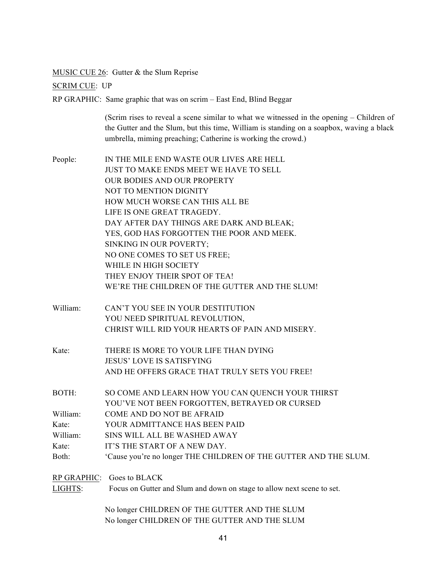MUSIC CUE 26: Gutter & the Slum Reprise

SCRIM CUE: UP

RP GRAPHIC: Same graphic that was on scrim – East End, Blind Beggar

(Scrim rises to reveal a scene similar to what we witnessed in the opening – Children of the Gutter and the Slum, but this time, William is standing on a soapbox, waving a black umbrella, miming preaching; Catherine is working the crowd.)

People: IN THE MILE END WASTE OUR LIVES ARE HELL JUST TO MAKE ENDS MEET WE HAVE TO SELL OUR BODIES AND OUR PROPERTY NOT TO MENTION DIGNITY HOW MUCH WORSE CAN THIS ALL BE LIFE IS ONE GREAT TRAGEDY. DAY AFTER DAY THINGS ARE DARK AND BLEAK; YES, GOD HAS FORGOTTEN THE POOR AND MEEK. SINKING IN OUR POVERTY; NO ONE COMES TO SET US FREE; WHILE IN HIGH SOCIETY THEY ENJOY THEIR SPOT OF TEA! WE'RE THE CHILDREN OF THE GUTTER AND THE SLUM! William: CAN'T YOU SEE IN YOUR DESTITUTION YOU NEED SPIRITUAL REVOLUTION, CHRIST WILL RID YOUR HEARTS OF PAIN AND MISERY. Kate: THERE IS MORE TO YOUR LIFE THAN DYING JESUS' LOVE IS SATISFYING AND HE OFFERS GRACE THAT TRULY SETS YOU FREE! BOTH: SO COME AND LEARN HOW YOU CAN QUENCH YOUR THIRST YOU'VE NOT BEEN FORGOTTEN, BETRAYED OR CURSED William: COME AND DO NOT BE AFRAID Kate: YOUR ADMITTANCE HAS BEEN PAID William: SINS WILL ALL BE WASHED AWAY Kate: IT'S THE START OF A NEW DAY.

Both: 'Cause you're no longer THE CHILDREN OF THE GUTTER AND THE SLUM.

RP GRAPHIC: Goes to BLACK

LIGHTS: Focus on Gutter and Slum and down on stage to allow next scene to set.

No longer CHILDREN OF THE GUTTER AND THE SLUM No longer CHILDREN OF THE GUTTER AND THE SLUM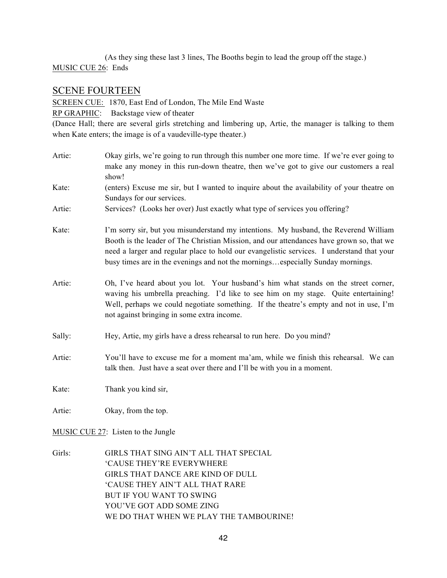(As they sing these last 3 lines, The Booths begin to lead the group off the stage.) MUSIC CUE 26: Ends

## SCENE FOURTEEN

SCREEN CUE: 1870, East End of London, The Mile End Waste RP GRAPHIC: Backstage view of theater (Dance Hall; there are several girls stretching and limbering up, Artie, the manager is talking to them when Kate enters; the image is of a vaudeville-type theater.)

- Artie: Okay girls, we're going to run through this number one more time. If we're ever going to make any money in this run-down theatre, then we've got to give our customers a real show!
- Kate: (enters) Excuse me sir, but I wanted to inquire about the availability of your theatre on Sundays for our services.
- Artie: Services? (Looks her over) Just exactly what type of services you offering?
- Kate: I'm sorry sir, but you misunderstand my intentions. My husband, the Reverend William Booth is the leader of The Christian Mission, and our attendances have grown so, that we need a larger and regular place to hold our evangelistic services. I understand that your busy times are in the evenings and not the mornings…especially Sunday mornings.
- Artie: Oh, I've heard about you lot. Your husband's him what stands on the street corner, waving his umbrella preaching. I'd like to see him on my stage. Quite entertaining! Well, perhaps we could negotiate something. If the theatre's empty and not in use, I'm not against bringing in some extra income.
- Sally: Hey, Artie, my girls have a dress rehearsal to run here. Do you mind?
- Artie: You'll have to excuse me for a moment ma'am, while we finish this rehearsal. We can talk then. Just have a seat over there and I'll be with you in a moment.

Kate: Thank you kind sir,

Artie: Okay, from the top.

MUSIC CUE 27: Listen to the Jungle

Girls: GIRLS THAT SING AIN'T ALL THAT SPECIAL 'CAUSE THEY'RE EVERYWHERE GIRLS THAT DANCE ARE KIND OF DULL 'CAUSE THEY AIN'T ALL THAT RARE BUT IF YOU WANT TO SWING YOU'VE GOT ADD SOME ZING WE DO THAT WHEN WE PLAY THE TAMBOURINE!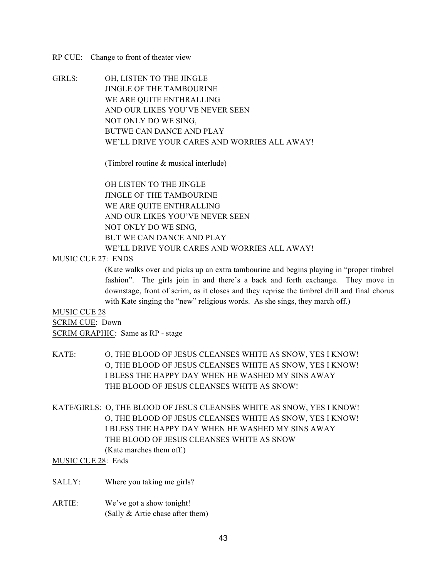#### RP CUE: Change to front of theater view

GIRLS: OH, LISTEN TO THE JINGLE JINGLE OF THE TAMBOURINE WE ARE QUITE ENTHRALLING AND OUR LIKES YOU'VE NEVER SEEN NOT ONLY DO WE SING, BUTWE CAN DANCE AND PLAY WE'LL DRIVE YOUR CARES AND WORRIES ALL AWAY!

(Timbrel routine & musical interlude)

OH LISTEN TO THE JINGLE JINGLE OF THE TAMBOURINE WE ARE QUITE ENTHRALLING AND OUR LIKES YOU'VE NEVER SEEN NOT ONLY DO WE SING, BUT WE CAN DANCE AND PLAY WE'LL DRIVE YOUR CARES AND WORRIES ALL AWAY!

#### MUSIC CUE 27: ENDS

(Kate walks over and picks up an extra tambourine and begins playing in "proper timbrel fashion". The girls join in and there's a back and forth exchange. They move in downstage, front of scrim, as it closes and they reprise the timbrel drill and final chorus with Kate singing the "new" religious words. As she sings, they march off.)

#### MUSIC CUE 28

SCRIM CUE: Down SCRIM GRAPHIC: Same as RP - stage

- KATE: O, THE BLOOD OF JESUS CLEANSES WHITE AS SNOW, YES I KNOW! O, THE BLOOD OF JESUS CLEANSES WHITE AS SNOW, YES I KNOW! I BLESS THE HAPPY DAY WHEN HE WASHED MY SINS AWAY THE BLOOD OF JESUS CLEANSES WHITE AS SNOW!
- KATE/GIRLS: O, THE BLOOD OF JESUS CLEANSES WHITE AS SNOW, YES I KNOW! O, THE BLOOD OF JESUS CLEANSES WHITE AS SNOW, YES I KNOW! I BLESS THE HAPPY DAY WHEN HE WASHED MY SINS AWAY THE BLOOD OF JESUS CLEANSES WHITE AS SNOW (Kate marches them off.)

MUSIC CUE 28: Ends

SALLY: Where you taking me girls?

ARTIE: We've got a show tonight! (Sally & Artie chase after them)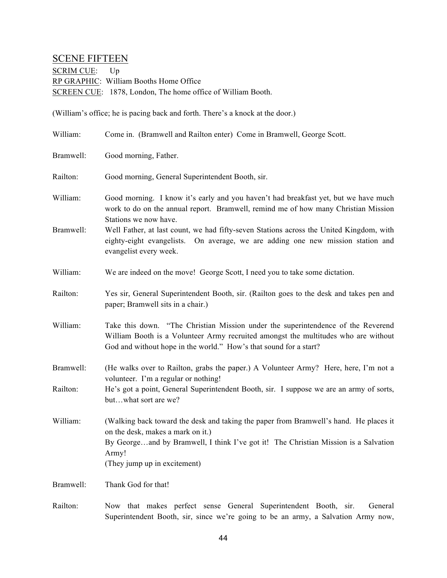## SCENE FIFTEEN

SCRIM CUE: Up RP GRAPHIC: William Booths Home Office SCREEN CUE: 1878, London, The home office of William Booth.

(William's office; he is pacing back and forth. There's a knock at the door.)

| William:  | Come in. (Bramwell and Railton enter) Come in Bramwell, George Scott.                                                                                                                                                                                      |
|-----------|------------------------------------------------------------------------------------------------------------------------------------------------------------------------------------------------------------------------------------------------------------|
| Bramwell: | Good morning, Father.                                                                                                                                                                                                                                      |
| Railton:  | Good morning, General Superintendent Booth, sir.                                                                                                                                                                                                           |
| William:  | Good morning. I know it's early and you haven't had breakfast yet, but we have much<br>work to do on the annual report. Bramwell, remind me of how many Christian Mission<br>Stations we now have.                                                         |
| Bramwell: | Well Father, at last count, we had fifty-seven Stations across the United Kingdom, with<br>eighty-eight evangelists. On average, we are adding one new mission station and<br>evangelist every week.                                                       |
| William:  | We are indeed on the move! George Scott, I need you to take some dictation.                                                                                                                                                                                |
| Railton:  | Yes sir, General Superintendent Booth, sir. (Railton goes to the desk and takes pen and<br>paper; Bramwell sits in a chair.)                                                                                                                               |
| William:  | Take this down. "The Christian Mission under the superintendence of the Reverend<br>William Booth is a Volunteer Army recruited amongst the multitudes who are without<br>God and without hope in the world." How's that sound for a start?                |
| Bramwell: | (He walks over to Railton, grabs the paper.) A Volunteer Army? Here, here, I'm not a<br>volunteer. I'm a regular or nothing!                                                                                                                               |
| Railton:  | He's got a point, General Superintendent Booth, sir. I suppose we are an army of sorts,<br>butwhat sort are we?                                                                                                                                            |
| William:  | (Walking back toward the desk and taking the paper from Bramwell's hand. He places it<br>on the desk, makes a mark on it.)<br>By Georgeand by Bramwell, I think I've got it! The Christian Mission is a Salvation<br>Army!<br>(They jump up in excitement) |
| Bramwell: | Thank God for that!                                                                                                                                                                                                                                        |
| Railton:  | Now that makes perfect sense General Superintendent Booth, sir.<br>General<br>Superintendent Booth, sir, since we're going to be an army, a Salvation Army now,                                                                                            |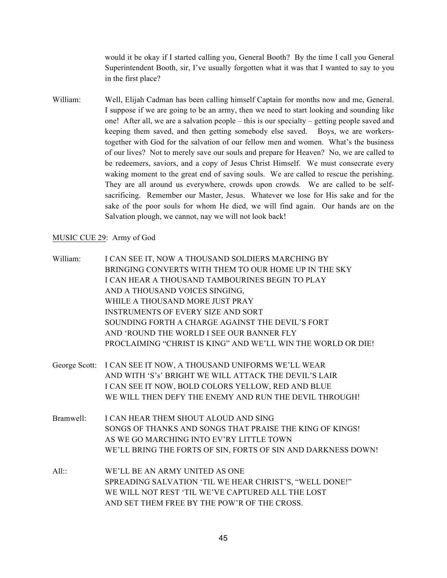would it be okay if I started calling you, General Booth? By the time I call you General Superintendent Booth, sir, I've usually forgotten what it was that I wanted to say to you in the first place?

William: Well, Elijah Cadman has been calling himself Captain for months now and me, General. I suppose if we are going to be an army, then we need to start looking and sounding like one! After all, we are a salvation people – this is our specialty – getting people saved and keeping them saved, and then getting somebody else saved. Boys, we are workerstogether with God for the salvation of our fellow men and women. What's the business of our lives? Not to merely save our souls and prepare for Heaven? No, we are called to be redeemers, saviors, and a copy of Jesus Christ Himself. We must consecrate every waking moment to the great end of saving souls. We are called to rescue the perishing. They are all around us everywhere, crowds upon crowds. We are called to be selfsacrificing. Remember our Master, Jesus. Whatever we lose for His sake and for the sake of the poor souls for whom He died, we will find again. Our hands are on the Salvation plough, we cannot, nay we will not look back!

#### MUSIC CUE 29: Army of God

- William: I CAN SEE IT, NOW A THOUSAND SOLDIERS MARCHING BY BRINGING CONVERTS WITH THEM TO OUR HOME UP IN THE SKY I CAN HEAR A THOUSAND TAMBOURINES BEGIN TO PLAY AND A THOUSAND VOICES SINGING, WHILE A THOUSAND MORE JUST PRAY INSTRUMENTS OF EVERY SIZE AND SORT SOUNDING FORTH A CHARGE AGAINST THE DEVIL'S FORT AND 'ROUND THE WORLD I SEE OUR BANNER FLY PROCLAIMING "CHRIST IS KING" AND WE'LL WIN THE WORLD OR DIE!
- George Scott: I CAN SEE IT NOW, A THOUSAND UNIFORMS WE'LL WEAR AND WITH 'S's' BRIGHT WE WILL ATTACK THE DEVIL'S LAIR I CAN SEE IT NOW, BOLD COLORS YELLOW, RED AND BLUE WE WILL THEN DEFY THE ENEMY AND RUN THE DEVIL THROUGH!
- Bramwell: I CAN HEAR THEM SHOUT ALOUD AND SING SONGS OF THANKS AND SONGS THAT PRAISE THE KING OF KINGS! AS WE GO MARCHING INTO EV'RY LITTLE TOWN WE'LL BRING THE FORTS OF SIN, FORTS OF SIN AND DARKNESS DOWN!
- All:: WE'LL BE AN ARMY UNITED AS ONE SPREADING SALVATION 'TIL WE HEAR CHRIST'S, "WELL DONE!" WE WILL NOT REST 'TIL WE'VE CAPTURED ALL THE LOST AND SET THEM FREE BY THE POW'R OF THE CROSS.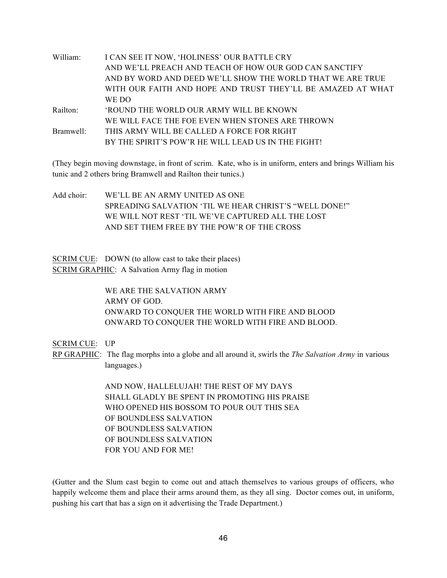| William:  | I CAN SEE IT NOW, 'HOLINESS' OUR BATTLE CRY                 |
|-----------|-------------------------------------------------------------|
|           | AND WE'LL PREACH AND TEACH OF HOW OUR GOD CAN SANCTIFY      |
|           | AND BY WORD AND DEED WE'LL SHOW THE WORLD THAT WE ARE TRUE  |
|           | WITH OUR FAITH AND HOPE AND TRUST THEY'LL BE AMAZED AT WHAT |
|           | WE DO                                                       |
| Railton:  | <b>ROUND THE WORLD OUR ARMY WILL BE KNOWN</b>               |
|           | WE WILL FACE THE FOE EVEN WHEN STONES ARE THROWN            |
| Bramwell: | THIS ARMY WILL BE CALLED A FORCE FOR RIGHT                  |
|           | BY THE SPIRIT'S POW'R HE WILL LEAD US IN THE FIGHT!         |
|           |                                                             |

(They begin moving downstage, in front of scrim. Kate, who is in uniform, enters and brings William his tunic and 2 others bring Bramwell and Railton their tunics.)

Add choir: WE'LL BE AN ARMY UNITED AS ONE SPREADING SALVATION 'TIL WE HEAR CHRIST'S "WELL DONE!" WE WILL NOT REST 'TIL WE'VE CAPTURED ALL THE LOST AND SET THEM FREE BY THE POW'R OF THE CROSS

SCRIM CUE: DOWN (to allow cast to take their places) SCRIM GRAPHIC: A Salvation Army flag in motion

> WE ARE THE SALVATION ARMY ARMY OF GOD. ONWARD TO CONQUER THE WORLD WITH FIRE AND BLOOD ONWARD TO CONQUER THE WORLD WITH FIRE AND BLOOD.

SCRIM CUE: UP

RP GRAPHIC: The flag morphs into a globe and all around it, swirls the *The Salvation Army* in various languages.)

> AND NOW, HALLELUJAH! THE REST OF MY DAYS SHALL GLADLY BE SPENT IN PROMOTING HIS PRAISE WHO OPENED HIS BOSSOM TO POUR OUT THIS SEA OF BOUNDLESS SALVATION OF BOUNDLESS SALVATION OF BOUNDLESS SALVATION FOR YOU AND FOR ME!

(Gutter and the Slum cast begin to come out and attach themselves to various groups of officers, who happily welcome them and place their arms around them, as they all sing. Doctor comes out, in uniform, pushing his cart that has a sign on it advertising the Trade Department.)